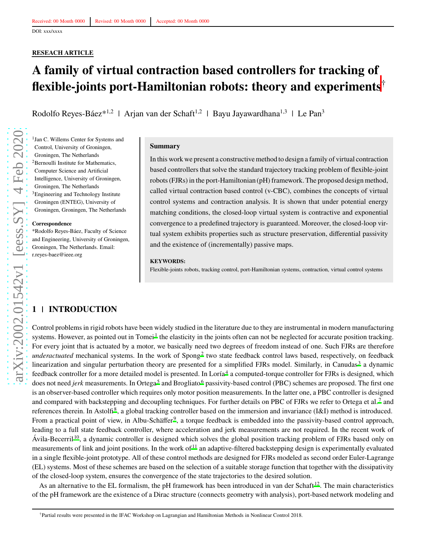# **RESEACH ARTICLE**

# **A family of virtual contraction based controllers for tracking of flexible-joints port-Hamiltonian robots: theory and experiments**†

Rodolfo Reyes-Báez\*<sup>1,2</sup> | Arjan van der Schaft<sup>1,2</sup> | Bayu Jayawardhana<sup>1,3</sup> | Le Pan<sup>3</sup>

1 Jan C. Willems Center for Systems and Control, University of Groningen, Groningen, The Netherlands <sup>2</sup>Bernoulli Institute for Mathematics, Computer Science and Artificial Intelligence, University of Groningen, Groningen, The Netherlands <sup>3</sup>Engineering and Technology Institute Groningen (ENTEG), University of Groningen, Groningen, The Netherlands

#### **Correspondence**

\*Rodolfo Reyes-Báez, Faculty of Science and Engineering, University of Groningen, Groningen, The Netherlands. Email: r.reyes-baez@ieee.org

#### **Summary**

In this work we present a constructive method to design a family of virtual contraction based controllers that solve the standard trajectory tracking problem of flexible-joint robots (FJRs) in the port-Hamiltonian (pH) framework. The proposed design method, called virtual contraction based control (v-CBC), combines the concepts of virtual control systems and contraction analysis. It is shown that under potential energy matching conditions, the closed-loop virtual system is contractive and exponential convergence to a predefined trajectory is guaranteed. Moreover, the closed-loop virtual system exhibits properties such as structure preservation, differential passivity and the existence of (incrementally) passive maps.

#### **KEYWORDS:**

Flexible-joints robots, tracking control, port-Hamiltonian systems, contraction, virtual control systems

# **1 INTRODUCTION**

Control problems in rigid robots have been widely studied in the literature due to they are instrumental in modern manufacturing systems. However, as pointed out in Tomei<sup>[1](#page-17-0)</sup> the elasticity in the joints often can not be neglected for accurate position tracking. For every joint that is actuated by a motor, we basically need two degrees of freedom instead of one. Such FJRs are therefore underactuated mechanical systems. In the work of Spong<sup>[2](#page-17-1)</sup> two state feedback control laws based, respectively, on feedback linearization and singular perturbation theory are presented for a simplified FJRs model. Similarly, in Canudas<sup>[3](#page-17-2)</sup> a dynamic feedback controller for a more detailed model is presented. In Loría<sup>[4](#page-17-3)</sup> a computed-torque controller for FJRs is designed, which does not need *jerk* measurements. In Ortega<sup>[5](#page-17-4)</sup> and Brogliato<sup>[6](#page-18-0)</sup> passivity-based control (PBC) schemes are proposed. The first one is an observer-based controller which requires only motor position measurements. In the latter one, a PBC controller is designed and compared with backstepping and decoupling techniques. For further details on PBC of FJRs we refer to Ortega et al.<sup>[7](#page-18-1)</sup> and references therein. In Astolfi<sup>[8](#page-18-2)</sup>, a global tracking controller based on the immersion and invariance (I&I) method is introduced. From a practical point of view, in Albu-Schäffer<sup>[9](#page-18-3)</sup>, a torque feedback is embedded into the passivity-based control approach, leading to a full state feedback controller, where acceleration and jerk measurements are not required. In the recent work of Ávila-Becerril<sup>[10](#page-18-4)</sup>, a dynamic controller is designed which solves the global position tracking problem of FJRs based only on measurements of link and joint positions. In the work of  $11$  an adaptive-filtered backstepping design is experimentally evaluated in a single flexible-joint prototype. All of these control methods are designed for FJRs modeled as second order Euler-Lagrange (EL) systems. Most of these schemes are based on the selection of a suitable storage function that together with the dissipativity of the closed-loop system, ensures the convergence of the state trajectories to the desired solution.

As an alternative to the EL formalism, the pH framework has been introduced in van der Schaft  $^{12}$  $^{12}$  $^{12}$ . The main characteristics of the pH framework are the existence of a Dirac structure (connects geometry with analysis), port-based network modeling and

<sup>†</sup>Partial results were presented in the IFAC Workshop on Lagrangian and Hamiltonian Methods in Nonlinear Control 2018.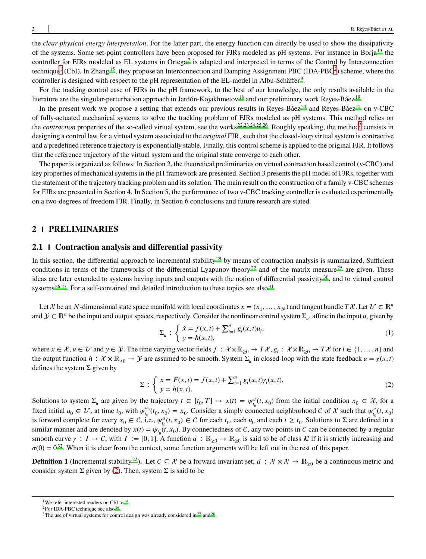the *clear physical energy interpretation*. For the latter part, the energy function can directly be used to show the dissipativity of the systems. Some set-point controllers have been proposed for FJRs modeled as pH systems. For instance in Borja [13](#page-18-7) the controller for FJRs modeled as EL systems in Ortega<sup>[7](#page-18-1)</sup> is adapted and interpreted in terms of the Control by Interconnection technique<sup>1</sup> (CbI). In Zhang<sup>[15](#page-18-8)</sup>, they propose an Interconnection and Damping Assignment PBC (IDA-PBC<sup>2</sup>) scheme, where the controller is designed with respect to the pH representation of the EL-model in Albu-Schäffer<sup>[9](#page-18-3)</sup>.

For the tracking control case of FJRs in the pH framework, to the best of our knowledge, the only results available in the literature are the singular-perturbation approach in Jardón-Kojakhmetov <sup>[18](#page-18-9)</sup> and our preliminary work Reyes-Báez <sup>[19](#page-18-10)</sup>.

In the present work we propose a setting that extends our previous results in Reyes-Báez<sup>[20](#page-18-11)</sup> and Reyes-Báez<sup>[21](#page-18-12)</sup> on v-CBC of fully-actuated mechanical systems to solve the tracking problem of FJRs modeled as pH systems. This method relies on the *contraction* properties of the so-called virtual system, see the works<sup>[22](#page-18-13)[,23](#page-18-14)[,24](#page-18-15)[,25](#page-19-0)[,26](#page-19-1)</sup>. Roughly speaking, the method<sup>3</sup> consists in designing a control law for a virtual system associated to the *original*FJR, such that the closed-loop virtual system is contractive and a predefined reference trajectory is exponentially stable. Finally, this control scheme is applied to the original FJR. It follows that the reference trajectory of the virtual system and the original state converge to each other.

The paper is organized as follows: In Section 2, the theoretical preliminaries on virtual contraction based control (v-CBC) and key properties of mechanical systems in the pH framework are presented. Section 3 presents the pH model of FJRs, together with the statement of the trajectory tracking problem and its solution. The main result on the construction of a family v-CBC schemes for FJRs are presented in Section 4. In Section 5, the performance of two v-CBC tracking controller is evaluated experimentally on a two-degrees of freedom FJR. Finally, in Section 6 conclusions and future research are stated.

#### **2 PRELIMINARIES**

# **2.1 Contraction analysis and differential passivity**

In this section, the differential approach to incremental stability<sup>[29](#page-19-2)</sup> by means of contraction analysis is summarized. Sufficient conditions in terms of the frameworks of the differential Lyapunov theory<sup>[22](#page-18-13)</sup> and of the matrix measure  $^{25}$  $^{25}$  $^{25}$  are given. These ideas are later extended to systems having inputs and outputs with the notion of differential passivity $30$ , and to virtual control systems  $26.27$  $26.27$ . For a self-contained and detailed introduction to these topics see also  $31$ .

Let  $\mathcal{X}$  be an  $N$ -dimensional state space manifold with local coordinates  $x = (x_1, \dots, x_N)$  and tangent bundle  $T\mathcal{X}$ . Let  $\mathcal{U} \subset \mathbb{R}^n$ and  $\mathcal{Y} \subset \mathbb{R}^n$  be the input and output spaces, respectively. Consider the nonlinear control system  $\Sigma_u$ , affine in the input *u*, given by

<span id="page-1-1"></span>
$$
\Sigma_u : \begin{cases} \dot{x} = f(x, t) + \sum_{i=1}^n g_i(x, t) u_i, \\ y = h(x, t), \end{cases}
$$
 (1)

where  $x \in \mathcal{X}, u \in \mathcal{U}$  and  $y \in \mathcal{Y}$ . The time varying vector fields  $f : \mathcal{X} \times \mathbb{R}_{\geq 0} \to T\mathcal{X}, g_i : \mathcal{X} \times \mathbb{R}_{\geq 0} \to T\mathcal{X}$  for  $i \in \{1, ..., n\}$  and the output function  $h: \mathcal{X} \times \mathbb{R}_{\geq 0} \to \mathcal{Y}$  are assumed to be smooth. System  $\Sigma_u$  in closed-loop with the state feedback  $u = \gamma(x, t)$ defines the system  $\Sigma$  given by

<span id="page-1-0"></span>
$$
\Sigma : \begin{cases} \n\dot{x} = F(x, t) = f(x, t) + \sum_{i=1}^{n} g_i(x, t) \gamma_i(x, t), \\ \ny = h(x, t). \n\end{cases}
$$
\n(2)

Solutions to system  $\Sigma_u$  are given by the trajectory  $t \in [t_0, T] \mapsto x(t) = \psi_{t_0}^u(t, x_0)$  from the initial condition  $x_0 \in \mathcal{X}$ , for a fixed initial  $u_0 \in \mathcal{U}$ , at time  $t_0$ , with  $\psi_{t_0}^{u_0}$  $J_{t_0}^{u_0}(t_0, x_0) = x_0$ . Consider a simply connected neighborhood *C* of *X* such that  $\psi_{t_0}^u(t, x_0)$ is forward complete for every  $x_0 \in C$ , i.e.,  $\psi_{t_0}^u(t, x_0) \in C$  for each  $t_0$ , each  $u_0$  and each  $t \ge t_0$ . Solutions to  $\Sigma$  are defined in a similar manner and are denoted by  $x(t) = \psi_{t_0}(t, x_0)$ . By connectedness of C, any two points in C can be connected by a regular smooth curve  $\gamma : I \to C$ , with  $I := [0, 1]$ . A function  $\alpha : \mathbb{R}_{\geq 0} \to \mathbb{R}_{\geq 0}$  is said to be of class  $\mathcal{K}$  if it is strictly increasing and  $\alpha(0) = 0^{32}$  $\alpha(0) = 0^{32}$  $\alpha(0) = 0^{32}$ . When it is clear from the context, some function arguments will be left out in the rest of this paper.

**Definition 1** (Incremental stability<sup>[22](#page-18-13)</sup>). Let  $C \subseteq \mathcal{X}$  be a forward invariant set,  $d : \mathcal{X} \times \mathcal{X} \to \mathbb{R}_{\geq 0}$  be a continuous metric and consider system  $\Sigma$  given by [\(2\)](#page-1-0). Then, system  $\Sigma$  is said to be

<sup>&</sup>lt;sup>1</sup>We refer interested readers on CbI to <sup>14</sup>.

<sup>&</sup>lt;sup>2</sup>F[o](#page-18-16)r IDA-PBC technique see also  $16$ .

<sup>&</sup>lt;sup>3</sup>The use of virtual systems for control [d](#page-19-7)esign was already considered in  $27$  and  $28$ .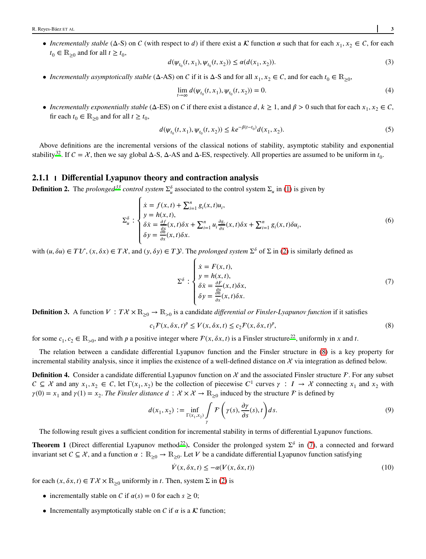• *Incrementally stable* ( $\Delta$ -S) on C (with respect to *d*) if there exist a  $\mathcal K$  function  $\alpha$  such that for each  $x_1, x_2 \in \mathcal C$ , for each  $t_0 \in \mathbb{R}_{\geq 0}$  and for all  $t \geq t_0$ ,

$$
d(\psi_{t_0}(t, x_1), \psi_{t_0}(t, x_2)) \le \alpha(d(x_1, x_2)).
$$
\n(3)

• *Incrementally asymptotically stable* ( $\Delta$ -AS) on *C* if it is  $\Delta$ -S and for all  $x_1, x_2 \in C$ , and for each  $t_0 \in \mathbb{R}_{\geq 0}$ ,

$$
\lim_{t \to \infty} d(\psi_{t_0}(t, x_1), \psi_{t_0}(t, x_2)) = 0.
$$
\n(4)

• *Incrementally exponentially stable* ( $\Delta$ -ES) on *C* if there exist a distance *d*,  $k \ge 1$ , and  $\beta > 0$  such that for each  $x_1, x_2 \in C$ , fir each  $t_0 \in \mathbb{R}_{\geq 0}$  and for all  $t \geq t_0$ ,

$$
d(\psi_{t_0}(t, x_1), \psi_{t_0}(t, x_2)) \leq k e^{-\beta(t - t_0)} d(x_1, x_2). \tag{5}
$$

Above definitions are the incremental versions of the classical notions of stability, asymptotic stability and exponential stability<sup>[32](#page-19-6)</sup>. If  $C = \mathcal{X}$ , then we say global  $\Delta$ -S,  $\Delta$ -AS and  $\Delta$ -ES, respectively. All properties are assumed to be uniform in  $t_0$ .

#### **2.1.1 Differential Lyapunov theory and contraction analysis**

**Definition 2.** The *prolonged*<sup>[33](#page-19-8)</sup> *control system*  $\Sigma_u^{\delta}$  associated to the control system  $\Sigma_u$  in [\(1\)](#page-1-1) is given by

$$
\Sigma_{u}^{\delta} : \begin{cases} \dot{x} = f(x,t) + \sum_{i=1}^{n} g_{i}(x,t)u_{i}, \\ y = h(x,t), \\ \delta \dot{x} = \frac{\partial f}{\partial x}(x,t)\delta x + \sum_{i=1}^{n} u_{i} \frac{\partial g_{i}}{\partial x}(x,t)\delta x + \sum_{i=1}^{n} g_{i}(x,t)\delta u_{i}, \\ \delta y = \frac{\partial h}{\partial x}(x,t)\delta x. \end{cases} \tag{6}
$$

with  $(u, \delta u) \in TV$ ,  $(x, \delta x) \in T\mathcal{X}$ , and  $(y, \delta y) \in T\mathcal{Y}$ . The *prolonged system*  $\Sigma^{\delta}$  of  $\Sigma$  in [\(2\)](#page-1-0) is similarly defined as

<span id="page-2-4"></span><span id="page-2-1"></span><span id="page-2-0"></span>
$$
\Sigma^{\delta} : \begin{cases}\n\dot{x} = F(x, t), \\
y = h(x, t), \\
\delta \dot{x} = \frac{\partial F}{\partial x}(x, t) \delta x, \\
\delta y = \frac{\partial \dot{x}}{\partial x}(x, t) \delta x.\n\end{cases}
$$
\n(7)

**Definition 3.** A function  $V : T\mathcal{X} \times \mathbb{R}_{\geq 0} \to \mathbb{R}_{>0}$  is a candidate *differential or Finsler-Lyapunov function* if it satisfies

$$
c_1 \mathcal{F}(x, \delta x, t)^p \le V(x, \delta x, t) \le c_2 \mathcal{F}(x, \delta x, t)^p,
$$
\n(8)

for some  $c_1, c_2 \in \mathbb{R}_{>0}$ , and with *p* a positive integer where  $\mathcal{F}(x, \delta x, t)$  is a Finsler structure <sup>[22](#page-18-13)</sup>, uniformly in *x* and *t*.

The relation between a candidate differential Lyapunov function and the Finsler structure in [\(8\)](#page-2-0) is a key property for incremental stability analysis, since it implies the existence of a well-defined distance on  $\mathcal X$  via integration as defined below.

**Definition 4.** Consider a candidate differential Lyapunov function on  $\mathcal{X}$  and the associated Finsler structure  $\mathcal{F}$ . For any subset  $C \subseteq \mathcal{X}$  and any  $x_1, x_2 \in C$ , let  $\Gamma(x_1, x_2)$  be the collection of piecewise  $C^1$  curves  $\gamma : I \to \mathcal{X}$  connecting  $x_1$  and  $x_2$  with  $\gamma(0) = x_1$  and  $\gamma(1) = x_2$ . *The Finsler distance*  $d : \mathcal{X} \times \mathcal{X} \to \mathbb{R}_{\geq 0}$  induced by the structure *F* is defined by

$$
d(x_1, x_2) := \inf_{\Gamma(x_1, x_2)} \int_{\gamma} \mathcal{F}\left(\gamma(s), \frac{\partial \gamma}{\partial s}(s), t\right) ds. \tag{9}
$$

The following result gives a sufficient condition for incremental stability in terms of differential Lyapunov functions.

<span id="page-2-3"></span>**Theorem 1** (Direct differential Lyapunov method<sup>[22](#page-18-13)</sup>). Consider the prolonged system  $\Sigma^{\delta}$  in [\(7\)](#page-2-1), a connected and forward invariant set  $C \subseteq \mathcal{X}$ , and a function  $\alpha : \mathbb{R}_{\geq 0} \to \mathbb{R}_{\geq 0}$ . Let *V* be a candidate differential Lyapunov function satisfying

<span id="page-2-2"></span>
$$
\dot{V}(x,\delta x,t) \le -\alpha (V(x,\delta x,t))\tag{10}
$$

for each  $(x, \delta x, t) \in T\mathcal{X} \times \mathbb{R}_{\geq 0}$  uniformly in *t*. Then, system  $\Sigma$  in [\(2\)](#page-1-0) is

- incrementally stable on C if  $\alpha(s) = 0$  for each  $s \geq 0$ ;
- Incrementally asymptotically stable on  $C$  if  $\alpha$  is a  $K$  function;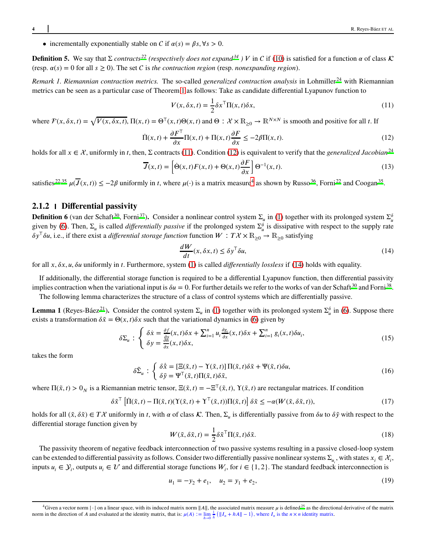• incrementally exponentially stable on C if  $\alpha(s) = \beta s, \forall s > 0$ .

**Definition 5.** We say that Σ *contracts*<sup>[22](#page-18-13)</sup> (respectively does not expand<sup>[34](#page-19-9)</sup>) V in C if [\(10\)](#page-2-2) is satisfied for a function *α* of class K  $(\text{resp. } \alpha(s) = 0 \text{ for all } s \geq 0).$  The set C is the contraction region (resp. *nonexpanding region*).

*Remark 1. Riemannian contraction metrics.* The so-called *generalized contraction analysis* in Lohmiller [24](#page-18-15) with Riemannian metrics can be seen as a particular case of Theorem [1](#page-2-3) as follows: Take as candidate differential Lyapunov function to

<span id="page-3-6"></span><span id="page-3-1"></span><span id="page-3-0"></span>
$$
V(x, \delta x, t) = \frac{1}{2} \delta x^{\mathsf{T}} \Pi(x, t) \delta x,\tag{11}
$$

where  $\mathcal{F}(x, \delta x, t) = \sqrt{V(x, \delta x, t)}$ ,  $\Pi(x, t) = \Theta^{\top}(x, t) \Theta(x, t)$  and  $\Theta : \mathcal{X} \times \mathbb{R}_{\geq 0} \to \mathbb{R}^{N \times N}$  is smooth and positive for all *t*. If

$$
\dot{\Pi}(x,t) + \frac{\partial F^{\top}}{\partial x} \Pi(x,t) + \Pi(x,t) \frac{\partial F}{\partial x} \le -2\beta \Pi(x,t). \tag{12}
$$

holds for all  $x \in \mathcal{X}$ , uniformly in *t*, then,  $\Sigma$  contracts [\(11\)](#page-3-0). Condition [\(12\)](#page-3-1) is equivalent to verify that the *generalized Jacobian*<sup>[24](#page-18-15)</sup>

$$
\overline{J}(x,t) = \left[\dot{\Theta}(x,t)F(x,t) + \Theta(x,t)\frac{\partial F}{\partial x}\right]\Theta^{-1}(x,t).
$$
\n(13)

satisfies<sup>[22](#page-18-13)[,35](#page-19-10)</sup>  $\mu(\overline{J}(x,t)) \le -2\beta$  uniformly in *t*, where  $\mu(\cdot)$  is a matrix measure<sup>4</sup> as shown by Russo<sup>[36](#page-19-11)</sup>, Forni<sup>22</sup> and Coogan<sup>[35](#page-19-10)</sup>.

# **2.1.2 Differential passivity**

**Definition 6** (van der Schaft<sup>[30](#page-19-3)</sup>, Forni<sup>[37](#page-19-12)</sup>). Consider a nonlinear control system  $\Sigma_{\mu}$  in [\(1\)](#page-1-1) together with its prolonged system  $\Sigma_{\mu}^{\delta}$ given by [\(6\)](#page-2-4). Then,  $\Sigma_u$  is called *differentially passive* if the prolonged system  $\Sigma_u^{\delta}$  is dissipative with respect to the supply rate  $\delta y^T \delta u$ , i.e., if there exist a *differential storage function* function  $W : T \mathcal{X} \times \mathbb{R}_{\geq 0} \to \mathbb{R}_{\geq 0}$  satisfying

<span id="page-3-2"></span>
$$
\frac{dW}{dt}(x,\delta x,t) \le \delta y^{\top} \delta u,\tag{14}
$$

for all *𝑥, 𝛿𝑥, 𝑢, 𝛿𝑢* uniformly in *𝑡*. Furthermore, system [\(1\)](#page-1-1) is called *differentially lossless* if [\(14\)](#page-3-2) holds with equality.

If additionally, the differential storage function is required to be a differential Lyapunov function, then differential passivity [i](#page-19-13)mplies contraction when the variational input is  $\delta u = 0$ . For further details we refer to the works of van der Schaft<sup>[30](#page-19-3)</sup> and Forni<sup>38</sup>.

The following lemma characterizes the structure of a class of control systems which are differentially passive.

<span id="page-3-5"></span>**Lemma 1** (Reyes-Báez<sup>[21](#page-18-12)</sup>). Consider the control system  $\Sigma_u$  in [\(1\)](#page-1-1) together with its prolonged system  $\Sigma_u^{\delta}$  in [\(6\)](#page-2-4). Suppose there exists a transformation  $\delta \tilde{x} = \Theta(x, t) \delta x$  such that the variational dynamics in [\(6\)](#page-2-4) given by

$$
\delta \Sigma_u : \begin{cases} \delta \dot{x} = \frac{\partial f}{\partial x}(x, t) \delta x + \sum_{i=1}^n u_i \frac{\partial g_i}{\partial x}(x, t) \delta x + \sum_{i=1}^n g_i(x, t) \delta u_i, \\ \delta y = \frac{\partial h}{\partial x}(x, t) \delta x, \end{cases} \tag{15}
$$

<span id="page-3-4"></span>takes the form

$$
\delta \tilde{\Sigma}_u : \begin{cases} \delta \dot{\tilde{x}} = [\Xi(\tilde{x}, t) - \Upsilon(\tilde{x}, t)] \Pi(\tilde{x}, t) \delta \tilde{x} + \Psi(\tilde{x}, t) \delta u, \\ \delta \tilde{y} = \Psi^{\top}(\tilde{x}, t) \Pi(\tilde{x}, t) \delta \tilde{x}, \end{cases}
$$
(16)

where  $\Pi(\tilde{x}, t) > 0_N$  is a Riemannian metric tensor,  $\Xi(\tilde{x}, t) = -\Xi^\top(\tilde{x}, t)$ ,  $\Upsilon(\tilde{x}, t)$  are rectangular matrices. If condition

$$
\delta \tilde{x}^{\top} \left[ \dot{\Pi}(\tilde{x}, t) - \Pi(\tilde{x}, t) (\Upsilon(\tilde{x}, t) + \Upsilon^{\top}(\tilde{x}, t)) \Pi(\tilde{x}, t) \right] \delta \tilde{x} \leq -\alpha (W(\tilde{x}, \delta \tilde{x}, t)), \tag{17}
$$

holds for all  $(\tilde{x}, \delta \tilde{x}) \in T\mathcal{X}$  uniformly in *t*, with  $\alpha$  of class  $\mathcal{K}$ . Then,  $\Sigma_u$  is differentially passive from  $\delta u$  to  $\delta \tilde{y}$  with respect to the differential storage function given by

$$
W(\tilde{x}, \delta \tilde{x}, t) = \frac{1}{2} \delta \tilde{x}^\top \Pi(\tilde{x}, t) \delta \tilde{x}.
$$
 (18)

The passivity theorem of negative feedback interconnection of two passive systems resulting in a passive closed-loop system can be extended to differential passivity as follows. Consider two differentially passive nonlinear systems  $\Sigma_{u_i}$ , with states  $x_i \in \mathcal{X}_i$ , inputs  $u_i \in \mathcal{Y}_i$ , outputs  $u_i \in \mathcal{U}$  and differential storage functions  $W_i$ , for  $i \in \{1, 2\}$ . The standard feedback interconnection is

<span id="page-3-3"></span>
$$
u_1 = -y_2 + e_1, \quad u_2 = y_1 + e_2,\tag{19}
$$

<sup>&</sup>lt;sup>4</sup>Given a vector norm | ⋅ | on a linear space, with its in[d](#page-19-0)uced matrix norm ||*A*||, the associated matrix measure  $\mu$  is defined <sup>25</sup> as the directional derivative of the matrix norm in the direction of A and evaluated at the identity matrix, that is:  $\mu(A) := \lim_{h \to 0} \frac{1}{h} (\|I_n + hA\| - 1)$ , where  $I_n$  is the  $n \times n$  identity matrix.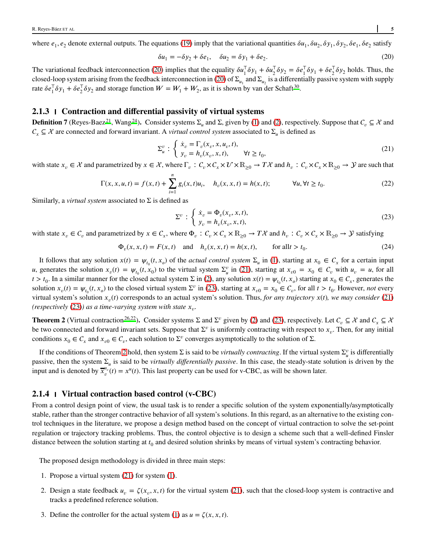where  $e_1, e_2$  denote external outputs. The equations [\(19\)](#page-3-3) imply that the variational quantities  $\delta u_1, \delta u_2, \delta y_1, \delta y_2, \delta e_1, \delta e_2$  satisfy

<span id="page-4-0"></span>
$$
\delta u_1 = -\delta y_2 + \delta e_1, \quad \delta u_2 = \delta y_1 + \delta e_2. \tag{20}
$$

The variational feedback interconnection [\(20\)](#page-4-0) implies that the equality  $\delta u_1^{\dagger} \delta y_1 + \delta u_2^{\dagger} \delta y_2 = \delta e_1^{\dagger} \delta y_1 + \delta e_2^{\dagger} \delta y_2$  holds. Thus, the closed-loop system arising from the feedback interconnection in [\(20\)](#page-4-0) of  $\Sigma_{u_1}$  and  $\Sigma_{u_2}$  is a differentially passive system with supply rate  $\delta e_1^{\mathsf{T}} \delta y_1 + \delta e_2^{\mathsf{T}} \delta y_2$  and storage function  $W = W_1 + W_2$ , as it is shown by van der Schaft<sup>[30](#page-19-3)</sup>.

# **2.1.3 Contraction and differential passivity of virtual systems**

<span id="page-4-4"></span>**Definition 7** (Reyes-Baez<sup>[21](#page-18-12)</sup>, Wang<sup>[24](#page-18-15)</sup>). Consider systems  $\Sigma_u$  and  $\Sigma$ , given by [\(1\)](#page-1-1) and [\(2\)](#page-1-0), respectively. Suppose that  $C_v \subseteq \mathcal{X}$  and  $C_x \subseteq \mathcal{X}$  are connected and forward invariant. A *virtual control system* associated to  $\Sigma_u$  is defined as

<span id="page-4-1"></span>
$$
\Sigma_u^v : \begin{cases} \dot{x}_v = \Gamma_v(x_v, x, u_v, t), \\ y_v = h_v(x_v, x, t), \end{cases} \quad \forall t \ge t_0,
$$
\n
$$
(21)
$$

with state  $x_v \in \mathcal{X}$  and parametrized by  $x \in \mathcal{X}$ , where  $\Gamma_v : C_v \times C_x \times \mathcal{U} \times \mathbb{R}_{>0} \to T\mathcal{X}$  and  $h_v : C_v \times C_x \times \mathbb{R}_{>0} \to \mathcal{Y}$  are such that

$$
\Gamma(x, x, u, t) = f(x, t) + \sum_{i=1}^{n} g_i(x, t)u_i, \quad h_v(x, x, t) = h(x, t); \quad \forall u, \forall t \ge t_0.
$$
 (22)

Similarly, a *virtual system* associated to Σ is defined as

<span id="page-4-2"></span>
$$
\Sigma^{\nu} : \begin{cases} \dot{x}_v = \Phi_v(x_v, x, t), \\ y_v = h_v(x_v, x, t), \end{cases}
$$
\n(23)

with state  $x_v \in C_v$  and parametrized by  $x \in C_x$ , where  $\Phi_v : C_v \times C_x \times \mathbb{R}_{\geq 0} \to T\mathcal{X}$  and  $h_v : C_v \times C_x \times \mathbb{R}_{\geq 0} \to \mathcal{Y}$  satisfying

$$
\Phi_v(x, x, t) = F(x, t)
$$
 and  $h_v(x, x, t) = h(x, t)$ , for all  $t > t_0$ . (24)

It follows that any solution  $x(t) = \psi_{t_0}(t, x_o)$  of the *actual control system*  $\Sigma_u$  in [\(1\)](#page-1-1), starting at  $x_0 \in C_x$  for a certain input u, generates the solution  $x_v(t) = \psi_{t_0}(t, x_0)$  to the virtual system  $\Sigma_u^v$  in [\(21\)](#page-4-1), starting at  $x_{v0} = x_0 \in C_v$  with  $u_v = u$ , for all  $t > t_0$ . In a similar manner for the closed actual system  $\Sigma$  in [\(2\)](#page-1-0), any solution  $x(t) = \psi_{t_0}(t, x_o)$  starting at  $x_0 \in C_x$ , generates the solution  $x_v(t) = \psi_{t_0}(t, x_o)$  to the closed virtual system  $\Sigma^v$  in [\(23\)](#page-4-2), starting at  $x_{v0} = x_0 \in C_v$ , for all  $t > t_0$ . However, not every virtual system's solution  $x_v(t)$  corresponds to an actual system's solution. Thus, *for any trajectory*  $x(t)$ *, we may consider* [\(21\)](#page-4-1) *(respectively [\(23\)](#page-4-2)) as a time-varying system with state*  $x_v$ *.* 

<span id="page-4-3"></span>**Theorem 2** (Virtual contraction<sup>26,22</sup>). Consider systems  $\Sigma$  and  $\Sigma^v$  given by [\(2\)](#page-1-0) and [\(23\)](#page-4-2), respectively. Let  $C_v \subseteq \mathcal{X}$  and  $C_x \subseteq \mathcal{X}$ be two connected and forward invariant sets. Suppose that  $\Sigma^v$  is uniformly contracting with respect to  $x_v$ . Then, for any initial conditions  $x_0 \in C_x$  and  $x_{v0} \in C_v$ , each solution to  $\Sigma^v$  converges asymptotically to the solution of  $\Sigma$ .

If the conditions of Theorem [2](#page-4-3) hold, then system  $\Sigma$  is said to be *virtually contracting*. If the virtual system  $\Sigma_u^v$  is differentially passive, then the system  $\Sigma_u$  is said to be *virtually differentially passive*. In this case, the steady-state solution is driven by the input and is denoted by  $\overline{x}^{\mu}{}_{v}(t) = x^{\mu}(t)$ . This last property can be used for v-CBC, as will be shown later.

#### <span id="page-4-5"></span>**2.1.4 Virtual contraction based control (v-CBC)**

From a control design point of view, the usual task is to render a specific solution of the system exponentially/asymptotically stable, rather than the stronger contractive behavior of all system's solutions. In this regard, as an alternative to the existing control techniques in the literature, we propose a design method based on the concept of virtual contraction to solve the set-point regulation or trajectory tracking problems. Thus, the control objective is to design a scheme such that a well-defined Finsler distance between the solution starting at  $t_0$  and desired solution shrinks by means of virtual system's contracting behavior.

The proposed design methodology is divided in three main steps:

- 1. Propose a virtual system [\(21\)](#page-4-1) for system [\(1\)](#page-1-1).
- 2. Design a state feedback  $u_v = \zeta(x_v, x, t)$  for the virtual system [\(21\)](#page-4-1), such that the closed-loop system is contractive and tracks a predefined reference solution.
- 3. Define the controller for the actual system [\(1\)](#page-1-1) as  $u = \zeta(x, x, t)$ .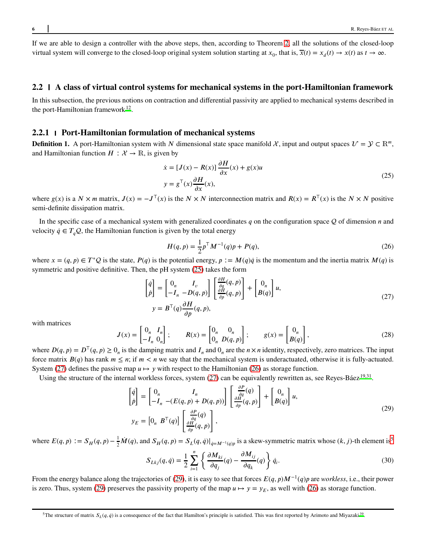If we are able to design a controller with the above steps, then, according to Theorem [2,](#page-4-3) all the solutions of the closed-loop virtual system will converge to the closed-loop original system solution starting at  $x_0$ , that is,  $\overline{x}(t) = x_d(t) \rightarrow x(t)$  as  $t \rightarrow \infty$ .

#### **2.2 A class of virtual control systems for mechanical systems in the port-Hamiltonian framework**

In this subsection, the previous notions on contraction and differential passivity are applied to mechanical systems described in the port-Hamiltonian framework $12$ .

#### **2.2.1 Port-Hamiltonian formulation of mechanical systems**

**Definition 1.** A port-Hamiltonian system with *N* dimensional state space manifold  $\mathcal{X}$ , input and output spaces  $\mathcal{U} = \mathcal{Y} \subset \mathbb{R}^m$ . and Hamiltonian function  $H : \mathcal{X} \to \mathbb{R}$ , is given by

<span id="page-5-0"></span>
$$
\dot{x} = [J(x) - R(x)] \frac{\partial H}{\partial x}(x) + g(x)u
$$
  
\n
$$
y = g^{\top}(x) \frac{\partial H}{\partial x}(x),
$$
\n(25)

where  $g(x)$  is a  $N \times m$  matrix,  $J(x) = -J^T(x)$  is the  $N \times N$  interconnection matrix and  $R(x) = R^T(x)$  is the  $N \times N$  positive semi-definite dissipation matrix.

In the specific case of a mechanical system with generalized coordinates  $q$  on the configuration space  $Q$  of dimension  $n$  and velocity  $\dot{q} \in T_a \mathcal{Q}$ , the Hamiltonian function is given by the total energy

<span id="page-5-2"></span><span id="page-5-1"></span>
$$
H(q, p) = \frac{1}{2} p^{\top} M^{-1}(q) p + P(q),
$$
\n(26)

where  $x = (q, p) \in T^*Q$  is the state,  $P(q)$  is the potential energy,  $p := M(q)q$  is the momentum and the inertia matrix  $M(q)$  is symmetric and positive definitive. Then, the pH system [\(25\)](#page-5-0) takes the form

$$
\begin{bmatrix} \dot{q} \\ \dot{p} \end{bmatrix} = \begin{bmatrix} 0_n & I_v \\ -I_n & -D(q, p) \end{bmatrix} \begin{bmatrix} \frac{\partial H}{\partial q}(q, p) \\ \frac{\partial H}{\partial p}(q, p) \end{bmatrix} + \begin{bmatrix} 0_n \\ B(q) \end{bmatrix} u,
$$
  
\n
$$
y = B^{\top}(q) \frac{\partial H}{\partial p}(q, p),
$$
\n(27)

<span id="page-5-4"></span>with matrices

$$
J(x) = \begin{bmatrix} 0_n & I_n \\ -I_n & 0_n \end{bmatrix}; \qquad R(x) = \begin{bmatrix} 0_n & 0_n \\ 0_n & D(q, p) \end{bmatrix}; \qquad g(x) = \begin{bmatrix} 0_n \\ B(q) \end{bmatrix},
$$
 (28)

where  $D(q, p) = D^T(q, p) \ge 0_n$  is the damping matrix and  $I_n$  and  $0_n$  are the  $n \times n$  identity, respectively, zero matrices. The input force matrix  $B(q)$  has rank  $m \leq n$ ; if  $m < n$  we say that the mechanical system is underactuated, otherwise it is fully-actuated. System [\(27\)](#page-5-1) defines the passive map  $u \mapsto y$  with respect to the Hamiltonian [\(26\)](#page-5-2) as storage function.

Using the structure of the internal workless forces, system [\(27\)](#page-5-1) can be equivalently rewritten as, see Reyes-Báez<sup>[19](#page-18-10)[,31](#page-19-5)</sup>.

$$
\begin{bmatrix} \dot{q} \\ \dot{p} \end{bmatrix} = \begin{bmatrix} 0_n & I_n \\ -I_n & -(E(q, p) + D(q, p)) \end{bmatrix} \begin{bmatrix} \frac{\partial P}{\partial q}(q) \\ \frac{\partial H}{\partial p}(q, p) \end{bmatrix} + \begin{bmatrix} 0_n \\ B(q) \end{bmatrix} u,
$$
\n
$$
y_E = \begin{bmatrix} 0_n & B^{\top}(q) \end{bmatrix} \begin{bmatrix} \frac{\partial P}{\partial q}(q) \\ \frac{\partial H}{\partial p}(q, p) \end{bmatrix},
$$
\n(29)

where  $E(q, p) := S_H(q, p) - \frac{1}{2}\dot{M}(q)$ , and  $S_H(q, p) = S_L(q, \dot{q})|_{\dot{q} = M^{-1}(q)p}$  is a skew-symmetric matrix whose  $(k, j)$ -th element is<sup>5</sup>

<span id="page-5-3"></span>
$$
S_{Lkj}(q, \dot{q}) = \frac{1}{2} \sum_{i=1}^{n} \left\{ \frac{\partial M_{ki}}{\partial q_j}(q) - \frac{\partial M_{ij}}{\partial q_k}(q) \right\} \dot{q}_i.
$$
 (30)

From the energy balance along the trajectories of [\(29\)](#page-5-3), it is easy to see that forces  $E(q, p)M^{-1}(q)p$  are *workless*, i.e., their power is zero. Thus, system [\(29\)](#page-5-3) preserves the passivity property of the map  $u \mapsto y = y_E$ , as well with [\(26\)](#page-5-2) as storage function.

<sup>&</sup>lt;sup>5</sup>The structure of matr[i](#page-19-14)x  $S_L(q, \dot{q})$  is a consequence of the fact that Hamilton's principle is satisfied. This was first reported by Arimoto and Miyazaki<sup>39</sup>.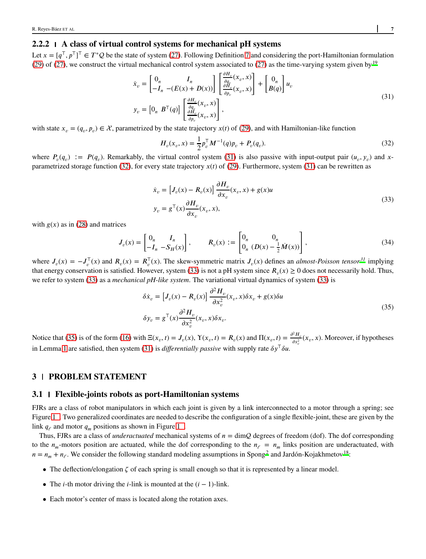# **2.2.2 A class of virtual control systems for mechanical pH systems**

Let  $x = [q^{\top}, p^{\top}]^{\top} \in T^*Q$  be the state of system [\(27\)](#page-5-1). Following Definition [7](#page-4-4) and considering the port-Hamiltonian formulation [\(29\)](#page-5-3) of [\(27\)](#page-5-1), we construct the virtual mechanical control system associated to [\(27\)](#page-5-1) as the time-varying system given by  $19$ 

$$
\dot{x}_v = \begin{bmatrix} 0_n & I_n \\ -I_n & -(E(x) + D(x)) \end{bmatrix} \begin{bmatrix} \frac{\partial H_v}{\partial q_v}(x_v, x) \\ \frac{\partial H_v}{\partial p_v}(x_v, x) \end{bmatrix} + \begin{bmatrix} 0_n \\ B(q) \end{bmatrix} u_v
$$
\n
$$
y_v = \begin{bmatrix} 0_n & B^\top(q) \end{bmatrix} \begin{bmatrix} \frac{\partial H_v}{\partial q_v}(x_v, x) \\ \frac{\partial H_v}{\partial p_v}(x_v, x) \end{bmatrix},
$$
\n(31)

with state  $x_v = (q_v, p_v) \in \mathcal{X}$ , parametrized by the state trajectory  $x(t)$  of [\(29\)](#page-5-3), and with Hamiltonian-like function

<span id="page-6-1"></span><span id="page-6-0"></span>
$$
H_v(x_v, x) = \frac{1}{2} p_v^{\top} M^{-1}(q) p_v + P_v(q_v).
$$
\n(32)

<span id="page-6-2"></span>where  $P_v(q_v) := P(q_v)$ . Remarkably, the virtual control system [\(31\)](#page-6-0) is also passive with input-output pair  $(u_v, y_v)$  and *x*-parametrized storage function [\(32\)](#page-6-1), for every state trajectory  $x(t)$  of [\(29\)](#page-5-3). Furthermore, system [\(31\)](#page-6-0) can be rewritten as

$$
\dot{x}_v = \left[J_v(x) - R_v(x)\right] \frac{\partial H_v}{\partial x_v}(x_v, x) + g(x)u
$$
\n
$$
y_v = g^\top(x) \frac{\partial H_v}{\partial x_v}(x_v, x),
$$
\n(33)

with  $g(x)$  as in [\(28\)](#page-5-4) and matrices

$$
J_{\nu}(x) = \begin{bmatrix} 0_n & I_n \\ -I_n & -S_H(x) \end{bmatrix}, \qquad R_{\nu}(x) := \begin{bmatrix} 0_n & 0_n \\ 0_n & (D(x) - \frac{1}{2}\dot{M}(x)) \end{bmatrix},
$$
(34)

where  $J_v(x) = -J_v^T(x)$  and  $R_v(x) = R_v^T(x)$ . The skew-symmetric matrix  $J_v(x)$  defines an *almost-Poisson tensor*<sup>[31](#page-19-5)</sup> implying that energy conservation is satisfied. However, system [\(33\)](#page-6-2) is not a pH system since  $R_v(x) \ge 0$  does not necessarily hold. Thus, we refer to system [\(33\)](#page-6-2) as a *mechanical pH-like system*. The variational virtual dynamics of system [\(33\)](#page-6-2) is

<span id="page-6-3"></span>
$$
\delta \dot{x}_v = \left[ J_v(x) - R_v(x) \right] \frac{\partial^2 H_v}{\partial x_v^2} (x_v, x) \delta x_v + g(x) \delta u
$$
\n
$$
\delta y_v = g^\top(x) \frac{\partial^2 H_v}{\partial x_v^2} (x_v, x) \delta x_v.
$$
\n(35)

Notice that [\(35\)](#page-6-3) is of the form [\(16\)](#page-3-4) with  $\Xi(x_v, t) = J_v(x)$ ,  $\Upsilon(x_v, t) = R_v(x)$  and  $\Pi(x_v, t) = \frac{\partial^2 H_v}{\partial x^2}$  $\frac{d^2 H_v}{dx_v^2}(x_v, x)$ . Moreover, if hypotheses in Lemma [1](#page-3-5) are satisfied, then system [\(31\)](#page-6-0) is *differentially passive* with supply rate  $\delta y^T \delta u$ .

# **3 PROBLEM STATEMENT**

#### **3.1 Flexible-joints robots as port-Hamiltonian systems**

FJRs are a class of robot manipulators in which each joint is given by a link interconnected to a motor through a spring; see Figure [1 .](#page-7-0) Two generalized coordinates are needed to describe the configuration of a single flexible-joint, these are given by the link  $q_e$  and motor  $q_m$  positions as shown in Figure 1.

Thus, FJRs are a class of *underactuated* mechanical systems of  $n = \dim Q$  degrees of freedom (dof). The dof corresponding to the  $n_m$ -motors position are actuated, while the dof corresponding to the  $n_e = n_m$  links position are underactuated, with  $n = n_m + n_\ell$ . We consider the following standard modeling assumptions in Spong<sup>[2](#page-17-1)</sup> and Jardón-Kojakhmetov<sup>[18](#page-18-9)</sup>:

- The deflection/elongation  $\zeta$  of each spring is small enough so that it is represented by a linear model.
- The *𝑖*-th motor driving the *𝑖*-link is mounted at the (*𝑖* − 1)-link.
- Each motor's center of mass is located along the rotation axes.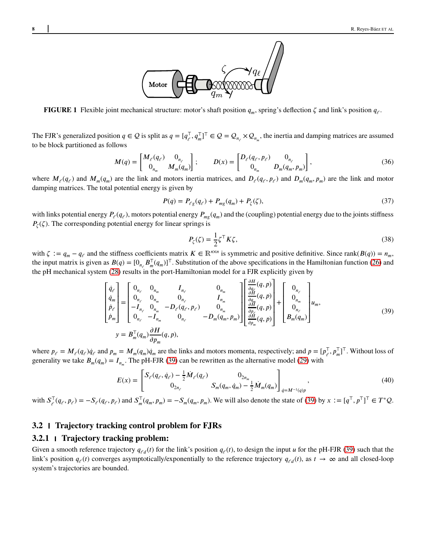

<span id="page-7-0"></span>**FIGURE 1** Flexible joint mechanical structure: motor's shaft position  $q_m$ , spring's deflection  $\zeta$  and link's position  $q_\ell$ .

The FJR's generalized position  $q \in \mathcal{Q}$  is split as  $q = [q_{\ell}^{\top}, q_{m}^{\top}]^{\top} \in \mathcal{Q} = \mathcal{Q}_{n_{\ell}} \times \mathcal{Q}_{n_{m}}$ , the inertia and damping matrices are assumed to be block partitioned as follows

<span id="page-7-3"></span>
$$
M(q) = \begin{bmatrix} M_{\ell}(q_{\ell}) & 0_{n_{\ell}} \\ 0_{n_{m}} & M_{m}(q_{m}) \end{bmatrix}; \qquad D(x) = \begin{bmatrix} D_{\ell}(q_{\ell}, p_{\ell}) & 0_{n_{\ell}} \\ 0_{n_{m}} & D_{m}(q_{m}, p_{m}) \end{bmatrix},
$$
(36)

where  $M_{\ell}(q_{\ell})$  and  $M_m(q_m)$  are the link and motors inertia matrices, and  $D_{\ell}(q_{\ell}, p_{\ell})$  and  $D_m(q_m, p_m)$  are the link and motor damping matrices. The total potential energy is given by

$$
P(q) = P_{\ell g}(q_{\ell}) + P_{mg}(q_m) + P_{\zeta}(\zeta),
$$
\n(37)

with links potential energy  $P_{\ell}(q_{\ell})$ , motors potential energy  $P_{mg}(q_m)$  and the (coupling) potential energy due to the joints stiffness  $P_{\zeta}(\zeta)$ . The corresponding potential energy for linear springs is

<span id="page-7-4"></span>
$$
P_{\zeta}(\zeta) = \frac{1}{2} \zeta^{\top} K \zeta, \qquad (38)
$$

with  $\zeta := q_m - q_\ell$  and the stiffness coefficients matrix  $K \in \mathbb{R}^{n \times n}$  is symmetric and positive definitive. Since rank $(B(q)) = n_m$ , the input matrix is given as  $B(q) = [0_{n_{\ell}} B_{m}^{\top}(q_{m})]^{\top}$ . Substitution of the above specifications in the Hamiltonian function [\(26\)](#page-5-2) and the pH mechanical system [\(28\)](#page-5-4) results in the port-Hamiltonian model for a FJR explicitly given by

$$
\begin{bmatrix}\n\dot{q}_{\ell} \\
\dot{q}_{m} \\
\dot{p}_{\ell} \\
\dot{p}_{m}\n\end{bmatrix} =\n\begin{bmatrix}\n0_{n_{\ell}} & 0_{n_{m}} & I_{n_{\ell}} & 0_{n_{m}} \\
0_{n_{\ell}} & 0_{n_{m}} & 0_{n_{\ell}} & I_{n_{m}} \\
-I_{n_{\ell}} & 0_{n_{m}} & -D_{\ell}(q_{\ell}, p_{\ell}) & 0_{n_{m}} \\
0_{n_{\ell}} & -I_{n_{m}} & 0_{n_{\ell}} & -D_{m}(q_{m}, p_{m})\n\end{bmatrix}\n\begin{bmatrix}\n\frac{\partial H}{\partial q_{\ell}}(q, p) \\
\frac{\partial H}{\partial q_{\ell}}(q, p) \\
\frac{\partial H}{\partial p_{\ell}}(q, p) \\
\frac{\partial H}{\partial p_{m}}(q, p)\n\end{bmatrix} +\n\begin{bmatrix}\n0_{n_{\ell}} \\
0_{n_{m}} \\
0_{n_{\ell}} \\
0_{n_{\ell}}\n\end{bmatrix} u_{m},
$$
\n(39)\n
$$
y = B_{m}^{\top}(q_{m}) \frac{\partial H}{\partial p_{m}}(q, p),
$$

<span id="page-7-2"></span><span id="page-7-1"></span> $\Gamma$  and

where  $p_{\ell} = M_{\ell}(q_{\ell})\dot{q}_{\ell}$  and  $p_m = M_m(q_m)\dot{q}_m$  are the links and motors momenta, respectively; and  $p = [p_{\ell}^{\top}, p_m^{\top}]^{\top}$ . Without loss of generality we take  $B_m(q_m) = I_{n_m}$ . The pH-FJR [\(39\)](#page-7-1) can be rewritten as the alternative model [\(29\)](#page-5-3) with

$$
E(x) = \begin{bmatrix} S_{\ell}(q_{\ell}, \dot{q}_{\ell}) - \frac{1}{2} \dot{M}_{\ell}(q_{\ell}) & 0_{2n_m} \\ 0_{2n_{\ell}} & S_m(q_m, \dot{q}_m) - \frac{1}{2} \dot{M}_m(q_m) \end{bmatrix}_{\dot{q} = M^{-1}(q)p},
$$
\n(40)

with  $S_{\ell}^{\top}(q_{\ell}, p_{\ell}) = -S_{\ell}(q_{\ell}, p_{\ell})$  and  $S_{m}^{\top}(q_{m}, p_{m}) = -S_{m}(q_{m}, p_{m})$ . We will also denote the state of [\(39\)](#page-7-1) by  $x := [q^{\top}, p^{\top}]^{\top} \in T^{*}Q$ .

#### **3.2 Trajectory tracking control problem for FJRs**

#### **3.2.1 Trajectory tracking problem:**

Given a smooth reference trajectory  $q_{\ell d}(t)$  for the link's position  $q_{\ell}(t)$ , to design the input *u* for the pH-FJR [\(39\)](#page-7-1) such that the link's position  $q_{\ell}(t)$  converges asymptotically/exponentially to the reference trajectory  $q_{\ell d}(t)$ , as  $t \to \infty$  and all closed-loop system's trajectories are bounded.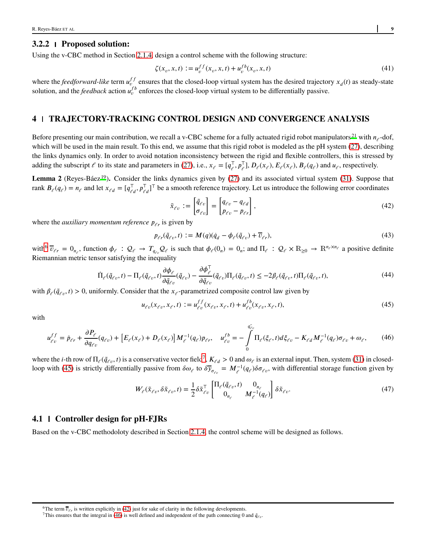# **3.2.2 Proposed solution:**

Using the v-CBC method in Section [2.1.4,](#page-4-5) design a control scheme with the following structure:

$$
\zeta(x_v, x, t) := u_v^{ff}(x_v, x, t) + u_v^{fb}(x_v, x, t)
$$
\n(41)

where the *feedforward-like* term  $u_{\nu}^{ff}$  ensures that the closed-loop virtual system has the desired trajectory  $x_d(t)$  as steady-state solution, and the *feedback* action  $u_{\nu}^{fb}$  enforces the closed-loop virtual system to be differentially passive.

# **4 TRAJECTORY-TRACKING CONTROL DESIGN AND CONVERGENCE ANALYSIS**

Before presenting our main contribution, we recall a v-CBC scheme for a fully actuated rigid robot manipulators<sup>21</sup> with  $n_e$ -dof, which will be used in the main result. To this end, we assume that this rigid robot is modeled as the pH system [\(27\)](#page-5-1), describing the links dynamics only. In order to avoid notation inconsistency between the rigid and flexible controllers, this is stressed by adding the subscript  $\ell$  to its state and parameters in [\(27\)](#page-5-1), i.e.,  $x_{\ell} = [q_{\ell}^{\mathsf{T}}, p_{\ell}^{\mathsf{T}}], D_{\ell}(x_{\ell}), E_{\ell}(x_{\ell}), B_{\ell}(q_{\ell})$  and  $u_{\ell}$ , respectively.

Lemma 2 (Reyes-Báe[z](#page-18-10)<sup>19</sup>). Consider the links dynamics given by [\(27\)](#page-5-1) and its associated virtual system [\(31\)](#page-6-0). Suppose that rank  $B_{\ell}(q_{\ell}) = n_{\ell}$  and let  $x_{\ell d} = [q_{\ell d}^{\top}, p_{\ell d}^{\top}]^{\top}$  be a smooth reference trajectory. Let us introduce the following error coordinates

$$
\tilde{x}_{\ell v} := \begin{bmatrix} \tilde{q}_{\ell v} \\ \sigma_{\ell v} \end{bmatrix} = \begin{bmatrix} q_{\ell v} - q_{\ell d} \\ p_{\ell v} - p_{\ell r} \end{bmatrix},\tag{42}
$$

where the *auxiliary momentum reference*  $p_{\ell r}$  is given by

<span id="page-8-3"></span><span id="page-8-0"></span>
$$
p_{\ell r}(\tilde{q}_{\ell v},t) := M(q)(\dot{q}_d - \phi_{\ell}(\tilde{q}_{\ell v}) + \overline{v}_{\ell r}),\tag{43}
$$

with  $\overline{v}_{\ell r} = 0_{n_{\ell}}$ , function  $\phi_{\ell} : Q_{\ell} \to T_{q_{\ell \nu}} Q_{\ell}$  is such that  $\phi_{\ell}(0_n) = 0_n$ ; and  $\Pi_{\ell} : Q_{\ell} \times \mathbb{R}_{\geq 0} \to \mathbb{R}^{n_{\ell} \times n_{\ell}}$  a positive definite Riemannian metric tensor satisfying the inequality

$$
\Pi_{\ell}(\tilde{q}_{\ell v},t) - \Pi_{\ell}(\tilde{q}_{\ell v},t)\frac{\partial \phi_{\ell}}{\partial \tilde{q}_{\ell v}}(\tilde{q}_{\ell v}) - \frac{\partial \phi_{\ell}^{\top}}{\partial \tilde{q}_{\ell v}}(\tilde{q}_{\ell v})\Pi_{\ell}(\tilde{q}_{\ell v},t) \le -2\beta_{\ell}(\tilde{q}_{\ell v},t)\Pi_{\ell}(\tilde{q}_{\ell v},t),\tag{44}
$$

with  $\beta_{\ell}(\tilde{q}_{\ell v}, t) > 0$ , uniformly. Consider that the  $x_{\ell}$ -parametrized composite control law given by

$$
u_{\ell v}(x_{\ell v}, x_{\ell}, t) := u_{\ell v}^{f f}(x_{\ell v}, x_{\ell}, t) + u_{\ell v}^{f b}(x_{\ell v}, x_{\ell}, t),
$$
\n(45)

with

<span id="page-8-2"></span>
$$
u_{\ell v}^{ff} = \dot{p}_{\ell r} + \frac{\partial P_{\ell}}{\partial q_{\ell v}}(q_{\ell v}) + \left[E_{\ell}(x_{\ell}) + D_{\ell}(x_{\ell})\right]M_{\ell}^{-1}(q_{\ell})p_{\ell r}, \quad u_{\ell v}^{fb} = -\int_{0}^{q_{\ell v}^{*}} \Pi_{\ell}(\xi_{\ell}, t)d\xi_{\ell v} - K_{\ell d}M_{\ell}^{-1}(q_{\ell})\sigma_{\ell v} + \omega_{\ell}, \tag{46}
$$

where the *i*-th row of  $\Pi_{\ell}(\tilde{q}_{\ell v}, t)$  is a conservative vector field<sup>7</sup>,  $K_{\ell d} > 0$  and  $\omega_{\ell}$  is an external input. Then, system [\(31\)](#page-6-0) in closed-loop with [\(45\)](#page-8-0) is strictly differentially passive from  $\delta \omega_{\ell}$  to  $\delta \overline{y}_{\sigma_{\ell v}} = M_{\ell}^{-1}(q_{\ell}) \delta \sigma_{\ell v}$ , with differential storage function given by

$$
W_{\ell}(\tilde{x}_{\ell v}, \delta \tilde{x}_{\ell v}, t) = \frac{1}{2} \delta \tilde{x}_{\ell v}^{\mathsf{T}} \begin{bmatrix} \Pi_{\ell}(\tilde{q}_{\ell v}, t) & 0_{n_{\ell}} \\ 0_{n_{\ell}} & M_{\ell}^{-1}(q_{\ell}) \end{bmatrix} \delta \tilde{x}_{\ell v}.
$$
 (47)

#### <span id="page-8-4"></span>**4.1 Controller design for pH-FJRs**

Based on the v-CBC methodoloty described in Section [2.1.4,](#page-4-5) the control scheme will be designed as follows.

<span id="page-8-1"></span>

<sup>&</sup>lt;sup>6</sup>The term  $\overline{v}_{\ell r}$  is written explicitly in [\(42\)](#page-8-1) just for sake of clarity in the following developments.

<sup>&</sup>lt;sup>7</sup>This ensures that the integral in [\(46\)](#page-8-2) is well defined and independent of the path connecting 0 and  $\tilde{q}_{\ell v}$ .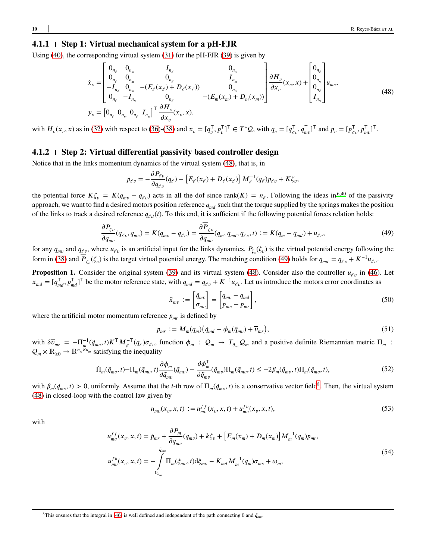# **4.1.1 Step 1: Virtual mechanical system for a pH-FJR**

Using [\(40\)](#page-7-2), the corresponding virtual system  $(31)$  for the pH-FJR  $(39)$  is given by

<span id="page-9-0"></span>
$$
\dot{x}_{v} = \begin{bmatrix}\n0_{n_{e}} & 0_{n_{m}} & I_{n_{e}} & 0_{n_{m}} \\
0_{n_{e}} & 0_{n_{m}} & 0_{n_{e}} & I_{n_{m}} \\
-I_{n_{e}} & 0_{n_{m}} & -(E_{e}(x_{e}) + D_{e}(x_{e})) & 0_{n_{m}} \\
0_{n_{e}} & -I_{n_{m}} & 0_{n_{e}} & -(E_{m}(x_{m}) + D_{m}(x_{m}))\n\end{bmatrix}\n\frac{\partial H_{v}}{\partial x_{v}}(x_{v}, x) + \begin{bmatrix}\n0_{n_{e}} \\
0_{n_{m}} \\
0_{n_{m}} \\
I_{n_{m}}\n\end{bmatrix} u_{mv},
$$
\n
$$
y_{v} = \begin{bmatrix}\n0_{n_{e}} & 0_{n_{m}} & 0_{n_{e}} & I_{n_{m}}\n\end{bmatrix}^{\top} \frac{\partial H_{v}}{\partial x_{v}}(x_{v}, x).
$$
\n(48)

with  $H_v(x_v, x)$  as in [\(32\)](#page-6-1) with respect to [\(36\)](#page-7-3)-[\(38\)](#page-7-4) and  $x_v = [q_v^T, p_v^T]^T \in T^*Q$ , with  $q_v = [q_{\ell v}^T, q_{mv}^T]^T$  and  $p_v = [p_{\ell v}^T, p_{mv}^T]^T$ .

## **4.1.2 Step 2: Virtual differential passivity based controller design**

Notice that in the links momentum dynamics of the virtual system [\(48\)](#page-9-0), that is, in

$$
\dot{p}_{\ell v} = -\frac{\partial P_{\ell v}}{\partial q_{\ell v}}(q_{\ell}) - \left[E_{\ell}(x_{\ell}) + D_{\ell}(x_{\ell})\right]M_{\ell}^{-1}(q_{\ell})p_{\ell v} + K\zeta_v,
$$

the potential force  $K\zeta_v = K(q_{mv} - q_{\ell v})$  acts in all the dof since rank $(K) = n_{\ell}$ . Following the ideas in<sup>[6](#page-18-0)[,40](#page-19-15)</sup> of the passivity approach, we want to find a desired motors position reference  $q_{md}$  such that the torque supplied by the springs makes the position of the links to track a desired reference  $q_{\ell d}(t)$ . To this end, it is sufficient if the following potential forces relation holds:

$$
\frac{\partial P_{\zeta v}}{\partial q_{mv}}(q_{\ell v}, q_{mv}) = K(q_{mv} - q_{\ell v}) = \frac{\partial \overline{P}_{\zeta v}}{\partial q_{mv}}(q_m, q_{md}, q_{\ell v}, t) := K(q_m - q_{md}) + u_{\ell v},\tag{49}
$$

for any  $q_{mv}$  and  $q_{\ell v}$ , where  $u_{\ell v}$  is an artificial input for the links dynamics,  $P_{\zeta_v}(\zeta_v)$  is the virtual potential energy following the form in [\(38\)](#page-7-4) and  $P_{\zeta_v}(\zeta_v)$  is the target virtual potential energy. The matching condition [\(49\)](#page-9-1) holds for  $q_{md} = q_{\ell v} + K^{-1}u_{\ell v}$ .

<span id="page-9-3"></span>**Proposition 1.** Consider the original system [\(39\)](#page-7-1) and its virtual system [\(48\)](#page-9-0). Consider also the controller  $u_{\ell v}$  in [\(46\)](#page-8-2). Let  $x_{md} = [q_{md}^\top, p_{md}^\top]^\top$  be the motor reference state, with  $q_{md} = q_{\ell v} + K^{-1}u_{\ell v}$ . Let us introduce the motors error coordinates as

<span id="page-9-5"></span><span id="page-9-1"></span>
$$
\tilde{x}_{mv} := \begin{bmatrix} \tilde{q}_{mv} \\ \sigma_{mv} \end{bmatrix} = \begin{bmatrix} q_{mv} - q_{md} \\ p_{mv} - p_{mr} \end{bmatrix},
$$
\n(50)

where the artificial motor momentum reference  $p_{\mu\nu}$  is defined by

<span id="page-9-4"></span>
$$
p_{mr} := M_m(q_m) \left( \dot{q}_{md} - \phi_m(\tilde{q}_{mv}) + \overline{\nu}_{mr} \right),\tag{51}
$$

with  $\delta \overline{v}_{mr} = -\Pi_m^{-1}(\tilde{q}_{mv}, t)K^{\top}M_{\ell}^{-\top}(q_{\ell})\sigma_{\ell v}$ , function  $\phi_m$ :  $Q_m \to T_{\tilde{q}_{mv}}Q_m$  and a positive definite Riemannian metric  $\Pi_m$ :  $Q_m \times \mathbb{R}_{\geq 0} \to \mathbb{R}^{n_m \times n_m}$  satisfying the inequality

$$
\dot{\Pi}_m(\tilde{q}_{mv},t) - \Pi_m(\tilde{q}_{mv},t)\frac{\partial\phi_m}{\partial\tilde{q}_{mv}}(\tilde{q}_{mv}) - \frac{\partial\phi_m^{\top}}{\partial\tilde{q}_{mv}}(\tilde{q}_{mv})\Pi_m(\tilde{q}_{mv},t) \le -2\beta_m(\tilde{q}_{mv},t)\Pi_m(\tilde{q}_{mv},t),\tag{52}
$$

with  $\beta_m(\tilde{q}_{mv},t) > 0$ , uniformly. Assume that the *i*-th row of  $\Pi_m(\tilde{q}_{mv},t)$  is a conservative vector field<sup>8</sup>. Then, the virtual system [\(48\)](#page-9-0) in closed-loop with the control law given by

<span id="page-9-2"></span>
$$
u_{mv}(x_v, x, t) := u_{mv}^{ff}(x_v, x, t) + u_{mv}^{fb}(x_v, x, t),
$$
\n(53)

with

$$
u_{mv}^{ff}(x_v, x, t) = \dot{p}_{mr} + \frac{\partial P_m}{\partial q_{mv}}(q_{mv}) + k\zeta_v + \left[E_m(x_m) + D_m(x_m)\right]M_m^{-1}(q_m)p_{mr},
$$
  

$$
u_{mv}^{fb}(x_v, x, t) = -\int_{0_{n_m}}^{\tilde{q}_{mv}} \Pi_m(\xi_{mv}, t) d\xi_{mv} - K_{md}M_m^{-1}(q_m)\sigma_{mv} + \omega_m,
$$
\n(54)

<sup>&</sup>lt;sup>8</sup>This ensures that the integral in [\(46\)](#page-8-2) is well defined and independent of the path connecting 0 and  $\tilde{q}_{mv}$ .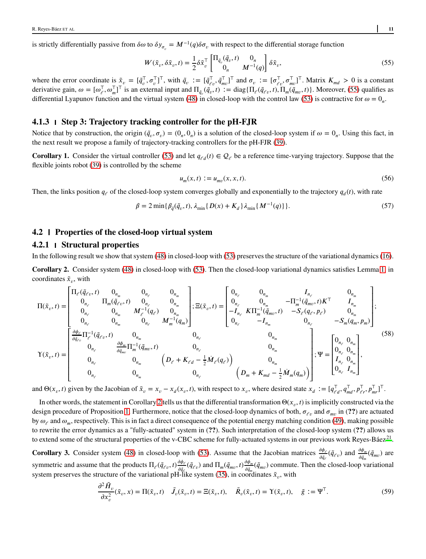is strictly differentially passive from  $\delta\omega$  to  $\delta y_{\sigma_v} = M^{-1}(q)\delta\sigma_v$  with respect to the differential storage function

<span id="page-10-0"></span>
$$
W(\tilde{x}_{v}, \delta \tilde{x}_{v}, t) = \frac{1}{2} \delta \tilde{x}_{v}^{\top} \begin{bmatrix} \Pi_{\tilde{q}_{v}}(\tilde{q}_{v}, t) & 0_{n} \\ 0_{n} & M^{-1}(q) \end{bmatrix} \delta \tilde{x}_{v},
$$
\n(55)

where the error coordinate is  $\tilde{x}_v = [\tilde{q}_v^\top, \sigma_v^\top]^\top$ , with  $\tilde{q}_v := [\tilde{q}_{\ell v}^\top, \tilde{q}_{mv}^\top]^\top$  and  $\sigma_v := [\sigma_{\ell v}^\top, \sigma_{mv}^\top]^\top$ . Matrix  $K_{md} > 0$  is a constant derivative gain,  $\omega = [\omega_{\ell}^{\top}, \omega_{m}^{\top}]^{\top}$  is an external input and  $\Pi_{\tilde{q}_{v}}(\tilde{q}_{v}, t) := \text{diag}\{\Pi_{\ell}(\tilde{q}_{\ell v}, t), \Pi_{m}(\tilde{q}_{mv}, t)\}\.$  Moreover, [\(55\)](#page-10-0) qualifies as differential Lyapunov function and the virtual system [\(48\)](#page-9-0) in closed-loop with the control law [\(53\)](#page-9-2) is contractive for  $\omega = 0_n$ .

#### **4.1.3 Step 3: Trajectory tracking controller for the pH-FJR**

Notice that by construction, the origin  $(\tilde{q}_v, \sigma_v) = (0_n, 0_n)$  is a solution of the closed-loop system if  $\omega = 0_n$ . Using this fact, in the next result we propose a family of trajectory-tracking controllers for the pH-FJR [\(39\)](#page-7-1).

**Corollary 1.** Consider the virtual controller [\(53\)](#page-9-2) and let  $q_{\ell d}(t) \in Q_{\ell}$  be a reference time-varying trajectory. Suppose that the flexible joints robot [\(39\)](#page-7-1) is controlled by the scheme

$$
u_m(x,t) := u_{mv}(x,x,t).
$$
 (56)

Then, the links position  $q_\ell$  of the closed-loop system converges globally and exponentially to the trajectory  $q_d(t)$ , with rate

$$
\beta = 2 \min \{ \beta_{\tilde{q}}(\tilde{q}_v, t), \lambda_{\min} \{ D(x) + K_d \} \lambda_{\min} \{ M^{-1}(q) \} \}.
$$
 (57)

#### <span id="page-10-4"></span>**4.2 Properties of the closed-loop virtual system**

# **4.2.1 Structural properties**

In the following result we show that system [\(48\)](#page-9-0) in closed-loop with [\(53\)](#page-9-2) preserves the structure of the variational dynamics [\(16\)](#page-3-4).

<span id="page-10-1"></span>**Corollary 2.** Consider system [\(48\)](#page-9-0) in closed-loop with [\(53\)](#page-9-2). Then the closed-loop variational dynamics satisfies Lemma [1,](#page-3-5) in coordinates  $\tilde{x}_v$ , with

<span id="page-10-5"></span>
$$
\Pi(\tilde{x}_{v},t) = \begin{bmatrix}\n\Pi_{\ell}(\tilde{q}_{\ell v},t) & 0_{n_{m}} & 0_{n_{\ell}} & 0_{n_{m}} \\
0_{n_{\ell}} & \Pi_{m}(\tilde{q}_{\ell v},t) & 0_{n_{\ell}} & 0_{n_{m}} \\
0_{n_{\ell}} & 0_{n_{m}} & M_{\ell}^{-1}(q_{\ell}) & 0_{n_{m}} \\
0_{n_{\ell}} & 0_{n_{m}} & M_{\ell}^{-1}(q_{\ell}) & 0_{n_{m}} \\
0_{n_{\ell}} & 0_{n_{m}} & 0_{n_{\ell}} & M_{m}^{-1}(q_{m})\n\end{bmatrix}; \Xi(\tilde{x}_{v},t) = \begin{bmatrix}\n0_{n_{\ell}} & 0_{n_{m}} & I_{n_{\ell}} & 0_{n_{m}} \\
0_{n_{\ell}} & 0_{n_{m}} & -\Pi_{m}^{-1}(\tilde{q}_{m\upsilon},t)K^{\top} & I_{n_{m}} \\
-I_{n_{\ell}} & K\Pi_{m}^{-1}(\tilde{q}_{m\upsilon},t) & -S_{\ell}(q_{\ell},p_{\ell}) & 0_{n_{m}} \\
0_{n_{\ell}} & -I_{n_{m}} & 0_{n_{\ell}} & -S_{m}(q_{m},p_{m})\n\end{bmatrix};
$$
\n
$$
\Upsilon(\tilde{x}_{v},t) = \begin{bmatrix}\n\frac{\partial \phi_{\ell}}{\partial \tilde{q}_{\ell v}} \Pi_{\ell}^{-1}(\tilde{q}_{\ell v},t) & 0_{n_{m}} & 0_{n_{\ell}} & 0_{n_{\ell}} \\
0_{n_{\ell}} & \frac{\partial \phi_{m}}{\partial \tilde{q}_{m\nu}} \Pi_{m}^{-1}(\tilde{q}_{m\nu},t) & 0_{n_{\ell}} & 0_{n_{\ell}} & 0_{n_{m}} \\
0_{n_{\ell}} & 0_{n_{m}} & (D_{\ell} + K_{\ell d} - \frac{1}{2}M_{\ell}(q_{\ell}) & 0_{n_{m}} \\
0_{n_{\ell}} & 0_{n_{\ell}} & 0_{n_{\ell}} & (D_{m} + K_{m d} - \frac{1}{2}M_{m}(q_{m}))\n\end{bmatrix}; \Psi = \begin{bmatrix}\n0_{n_{\ell}} & 0_{n_{m}} & 0_{n_{m}} \\
0_{n
$$

and  $\Theta(x_v, t)$  given by the Jacobian of  $\tilde{x}_v = x_v - x_d(x_v, t)$ , with respect to  $x_v$ , where desired state  $x_d := [q_{\ell d}^\top, q_{md}^\top, p_{\ell r}^\top, p_{mr}^\top]^\top$ .

In other words, the statement in Corollary [2](#page-10-1) tells us that the differential transformation  $\Theta(x_v,t)$  is implicitly constructed via the design procedure of Proposition [1.](#page-9-3) Furthermore, notice that the closed-loop dynamics of both,  $\sigma_{\ell v}$  and  $\sigma_{mv}$  in (??) are actuated by  $\omega_\ell$  and  $\omega_m$ , respectively. This is in fact a direct consequence of the potential energy matching condition [\(49\)](#page-9-1), making possible to rewrite the error dynamics as a "fully-actuated" system in (**??**). Such interpretation of the closed-loop system (**??**) allows us to extend some of the structural properties of the v-CBC scheme for fully-actuated systems in our previous work Reyes-Báez<sup>[21](#page-18-12)</sup>.

<span id="page-10-3"></span>**Corollary 3.** Consider system [\(48\)](#page-9-0) in closed-loop with [\(53\)](#page-9-2). Assume that the Jacobian matrices  $\frac{\partial \phi_{\ell}}{\partial \tilde{q}_{\ell}}(\tilde{q}_{\ell v})$  and  $\frac{\partial \phi_{m}}{\partial \tilde{q}_{m}}(\tilde{q}_{mv})$  are symmetric and assume that the products  $\Pi_{\ell}(\tilde{q}_{\ell\nu},t) \frac{\partial \phi_{\ell\ell}}{\partial \tilde{q}_{\ell\ell}}$  $\frac{\partial \phi_{\ell}}{\partial \tilde{q}_{\ell}}(\tilde{q}_{\ell v})$  and  $\Pi_m(\tilde{q}_{mv},t) \frac{\partial \phi_m}{\partial \tilde{q}_m}$  $\frac{\partial \varphi_m}{\partial \tilde{q}_m}(\tilde{q}_{mv})$  commute. Then the closed-loop variational system preserves the structure of the variational pH-like system [\(35\)](#page-6-3), in coordinates  $\tilde{x}_v$ , with

<span id="page-10-2"></span>
$$
\frac{\partial^2 \tilde{H}_v}{\partial x_v^2}(\tilde{x}_v, x) = \Pi(\tilde{x}_v, t) \quad \tilde{J}_v(\tilde{x}_v, t) = \Xi(\tilde{x}_v, t), \quad \tilde{R}_v(\tilde{x}_v, t) = \Upsilon(\tilde{x}_v, t), \quad \tilde{g} := \Psi^{\top}.
$$
\n(59)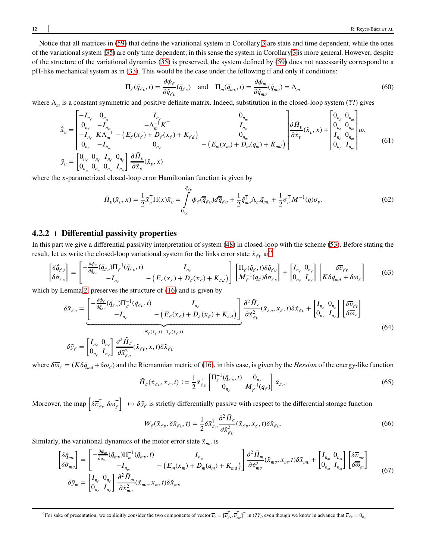Notice that all matrices in [\(59\)](#page-10-2) that define the variational system in Corollary [3](#page-10-3) are state and time dependent, while the ones of the variational system [\(35\)](#page-6-3) are only time dependent; in this sense the system in Corollary [3](#page-10-3) is more general. However, despite of the structure of the variational dynamics [\(35\)](#page-6-3) is preserved, the system defined by [\(59\)](#page-10-2) does not necessarily correspond to a pH-like mechanical system as in [\(33\)](#page-6-2). This would be the case under the following if and only if conditions:

<span id="page-11-3"></span><span id="page-11-2"></span>
$$
\Pi_{\ell}(\tilde{q}_{\ell v},t) = \frac{\partial \phi_{\ell}}{\partial \tilde{q}_{\ell v}}(\tilde{q}_{\ell v}) \quad \text{and} \quad \Pi_{m}(\tilde{q}_{mv},t) = \frac{\partial \phi_{m}}{\partial \tilde{q}_{mv}}(\tilde{q}_{mv}) = \Lambda_{m}
$$
\n(60)

where Λ*<sup>𝑚</sup>* is a constant symmetric and positive definite matrix. Indeed, substitution in the closed-loop system (**??**) gives

$$
\tilde{x}_{v} = \begin{bmatrix}\n-I_{n_{e}} & 0_{n_{m}} & I_{n_{e}} & 0_{n_{m}} \\
0_{n_{e}} & -I_{n_{m}} & -\Lambda_{m}^{-1}K^{T} & I_{n_{m}} \\
-I_{n_{e}} & K\Lambda_{m}^{-1} - (E_{e}(x_{e}) + D_{e}(x_{e}) + K_{e d}) & 0_{n_{m}} \\
0_{n_{e}} & -I_{n_{m}} & 0_{n_{e}} \\
0_{n_{m}} & 0_{n_{m}} & 0_{n_{m}}\n\end{bmatrix}\n\begin{bmatrix}\n0_{n_{m}} & 0_{n_{m}} \\
I_{n_{m}} & I_{n_{m}} \\
0_{n_{m}} & 0_{n_{m}}\n\end{bmatrix}\n\begin{bmatrix}\n0_{n_{e}} & 0_{n_{m}} \\
0_{n_{e}} & 0_{n_{m}} \\
0_{n_{e}} & 0_{n_{m}} \\
0_{n_{e}} & I_{n_{m}}\n\end{bmatrix}\n\omega.
$$
\n
$$
\tilde{y}_{v} = \begin{bmatrix}\n0_{n_{e}} & 0_{n_{e}} & I_{n_{e}} \\
0_{n_{e}} & I_{n_{m}} & 0 \\
0_{n_{m}} & I_{n_{m}}\n\end{bmatrix}\n\begin{bmatrix}\n0_{n_{e}} & 0_{n_{m}} \\
0_{n_{e}} & 0_{n_{m}} \\
0_{n_{e}} & I_{n_{m}}\n\end{bmatrix}\n\tag{61}
$$

where the *x*-parametrized closed-loop error Hamiltonian function is given by

<span id="page-11-1"></span>
$$
\tilde{H}_v(\tilde{x}_v, x) = \frac{1}{2} \tilde{x}_v^\top \Pi(x) \tilde{x}_v = \int_{0_{n_\ell}}^{\tilde{q}_{\ell v}} \phi_\ell(\overline{q}_{\ell v}) d\overline{q}_{\ell v} + \frac{1}{2} \tilde{q}_{mv}^\top \Lambda_m \tilde{q}_{mv} + \frac{1}{2} \sigma_v^\top M^{-1}(q) \sigma_v.
$$
\n(62)

#### **4.2.2 Differential passivity properties**

In this part we give a differential passivity interpretation of system [\(48\)](#page-9-0) in closed-loop with the scheme [\(53\)](#page-9-2). Before stating the result, let us write the closed-loop variational system for the links error state  $\tilde{x}_{\ell v}$  as<sup>9</sup>

$$
\begin{bmatrix} \delta \tilde{q}_{\ell v} \\ \delta \dot{\sigma}_{\ell v} \end{bmatrix} = \begin{bmatrix} -\frac{\partial \phi_{\ell}}{\partial \tilde{q}_{\ell v}} (\tilde{q}_{\ell v}) \Pi_{\ell}^{-1} (\tilde{q}_{\ell v}, t) & I_{n_{\ell}} \\ -I_{n_{\ell}} & -(E_{\ell}(x_{\ell}) + D_{\ell}(x_{\ell}) + K_{\ell d}) \end{bmatrix} \begin{bmatrix} \Pi_{\ell}(\tilde{q}_{\ell}, t) \delta \tilde{q}_{\ell v} \\ M_{\ell}^{-1}(q_{\ell}) \delta \sigma_{\ell v} \end{bmatrix} + \begin{bmatrix} I_{n_{\ell}} & 0_{n_{\ell}} \\ 0_{n_{\ell}} & I_{n_{\ell}} \end{bmatrix} \begin{bmatrix} \delta \overline{v}_{\ell r} \\ K \delta \tilde{q}_{md} + \delta \omega_{\ell} \end{bmatrix}
$$
(63)

which by Lemma [2,](#page-10-1) preserves the structure of [\(16\)](#page-3-4) and is given by

$$
\delta \tilde{x}_{\ell v} = \underbrace{\begin{bmatrix} -\frac{\partial \phi_{\ell}}{\partial \tilde{q}_{\ell v}} (\tilde{q}_{\ell v}) \Pi_{\ell}^{-1} (\tilde{q}_{\ell v}, t) & I_{n_{\ell}} \\ -I_{n_{\ell}} & -(E_{\ell}(x_{\ell}) + D_{\ell}(x_{\ell}) + K_{\ell d}) \end{bmatrix}}_{\tilde{q}_{\ell v}} \underbrace{\frac{\partial^2 \tilde{H}_{\ell}}{\partial \tilde{x}_{\ell v}^2}}_{\tilde{q}_{\ell v}} (\tilde{x}_{\ell v}, x_{\ell}, t) \delta \tilde{x}_{\ell v} + \begin{bmatrix} I_{n_{\ell}} & 0_{n_{\ell}} \\ 0_{n_{\ell}} & I_{n_{\ell}} \end{bmatrix} \begin{bmatrix} \delta \overline{v}_{\ell r} \\ \delta \overline{\omega}_{\ell} \end{bmatrix}
$$
\n
$$
\delta \tilde{y}_{\ell} = \begin{bmatrix} I_{n_{\ell}} & 0_{n_{\ell}} \\ 0_{n_{\ell}} & I_{n_{\ell}} \end{bmatrix} \underbrace{\frac{\partial^2 \tilde{H}_{\ell}}{\partial \tilde{x}_{\ell v}^2}}_{\tilde{q}_{\ell v}^2 (\tilde{x}_{\ell v}, x, t) \delta \tilde{x}_{\ell v}}
$$
\n
$$
(64)
$$

where  $\delta\overline{\omega}_e = (K\delta\tilde{q}_{md} + \delta\omega_e)$  and the Riemannian metric of [\(16\)](#page-3-4), in this case, is given by the *Hessian* of the energy-like function

<span id="page-11-0"></span>
$$
\tilde{H}_{\ell}(\tilde{x}_{\ell v}, x_{\ell}, t) := \frac{1}{2} \tilde{x}_{\ell v}^{\top} \begin{bmatrix} \Pi_{\ell}^{-1}(\tilde{q}_{\ell v}, t) & 0_{n_{\ell}} \\ 0_{n_{\ell}} & M_{\ell}^{-1}(q_{\ell}) \end{bmatrix} \tilde{x}_{\ell v}.
$$
\n(65)

Moreover, the map  $\left[\delta \overline{v}_{\ell r}^{T} \delta \omega_{\ell}^{T}\right]$ <sup>T</sup> →  $\delta \tilde{y}_e$  is strictly differentially passive with respect to the differential storage function

$$
W_{\ell}(\tilde{x}_{\ell v}, \delta \tilde{x}_{\ell v}, t) = \frac{1}{2} \delta \tilde{x}_{\ell v}^{\mathsf{T}} \frac{\partial^2 \tilde{H}_{\ell}}{\partial \tilde{x}_{\ell v}^2} (\tilde{x}_{\ell v}, x_{\ell}, t) \delta \tilde{x}_{\ell v}.
$$
 (66)

Similarly, the variational dynamics of the motor error state  $\tilde{x}_{mn}$  is

$$
\begin{bmatrix}\n\delta \tilde{q}_{mv} \\
\delta \dot{\sigma}_{mv}\n\end{bmatrix} = \begin{bmatrix}\n-\frac{\partial \phi_m}{\partial \tilde{q}_{mv}} (\tilde{q}_{mv}) \Pi_m^{-1} (\tilde{q}_{mv}, t) & I_{n_m} \\
-I_{n_m} & -(E_m(x_m) + D_m(q_m) + K_{md})\n\end{bmatrix}\n\frac{\partial^2 \tilde{H}_m}{\partial \tilde{x}_{mv}^2} (\tilde{x}_{mv}, x_m, t) \delta \tilde{x}_{mv} + \begin{bmatrix}\nI_{n_m} & 0_{n_m} \\
0_{n_m} & I_{n_m}\n\end{bmatrix}\n\begin{bmatrix}\n\delta \overline{U}_{mr} \\
\delta \overline{W}_m\n\end{bmatrix}
$$
\n
$$
\delta \tilde{y}_m = \begin{bmatrix}\nI_{n_c} & 0_{n_c} \\
0_{n_c} & I_{n_c}\n\end{bmatrix}\n\frac{\partial^2 \tilde{H}_m}{\partial \tilde{x}_{mv}^2} (\tilde{x}_{mv}, x_m, t) \delta \tilde{x}_{mv}
$$
\n(67)

<sup>&</sup>lt;sup>9</sup>For sake of presentation, we explicitly consider the two components of vector  $\overline{v}_r = [\overline{v}_{\ell}^{\top}, \overline{v}_{mr}^{\top}]^{\top}$  in (??), even though we know in advance that  $\overline{v}_{\ell r} = 0_{n_{\ell}}$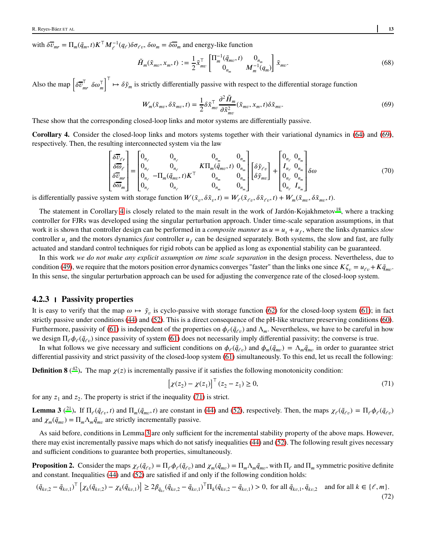with  $\delta \overline{v}_{mr} = \Pi_m(\tilde{q}_m, t) K^\top M_{\ell}^{-1}(q_{\ell}) \delta \sigma_{\ell v}, \delta \omega_m = \delta \overline{\omega}_m$  and energy-like function

$$
\tilde{H}_m(\tilde{x}_{mv}, x_m, t) := \frac{1}{2} \tilde{x}_{mv}^{\top} \begin{bmatrix} \Pi_m^{-1}(\tilde{q}_{mv}, t) & 0_{n_m} \\ 0_{n_m} & M_m^{-1}(q_m) \end{bmatrix} \tilde{x}_{mv}.
$$
\n(68)

Also the map  $\left[\delta \overline{v}_m^{\mathsf{T}}\right]$  $\int_{mr}^{1} \delta \omega_m^{\top}$ <sup>T</sup> →  $\delta \tilde{y}_m$  is strictly differentially passive with respect to the differential storage function

$$
W_m(\tilde{x}_{mv}, \delta \tilde{x}_{mv}, t) = \frac{1}{2} \delta \tilde{x}_{mv}^\top \frac{\partial^2 \tilde{H}_m}{\partial \tilde{x}_{mv}^2} (\tilde{x}_{mv}, x_m, t) \delta \tilde{x}_{mv}.
$$
 (69)

These show that the corresponding closed-loop links and motor systems are differentially passive.

<span id="page-12-1"></span>**Corollary 4.** Consider the closed-loop links and motors systems together with their variational dynamics in [\(64\)](#page-11-0) and [\(69\)](#page-12-0), respectively. Then, the resulting interconnected system via the law

$$
\begin{bmatrix}\n\delta\overline{v}_{e} \\
\delta\overline{\omega}_{e} \\
\delta\overline{v}_{mr} \\
\delta\overline{\omega}_{m}\n\end{bmatrix} = \begin{bmatrix}\n0_{n_{e}} & 0_{n_{e}} & 0_{n_{m}} & 0_{n_{m}} \\
0_{n_{e}} & 0_{n_{e}} & K\Pi_{m}(\tilde{q}_{mv}, t) & 0_{n_{m}} \\
0_{n_{e}} & -\Pi_{m}(\tilde{q}_{mv}, t)K^{\top} & 0_{n_{m}} & 0_{n_{m}} \\
0_{n_{e}} & 0_{n_{e}} & 0_{n_{m}} & 0_{n_{m}}\n\end{bmatrix} \begin{bmatrix}\n\delta\tilde{y}_{e} \\
\delta\tilde{y}_{me}\n\end{bmatrix} + \begin{bmatrix}\n0_{n_{e}} & 0_{n_{m}} \\
I_{n_{e}} & 0_{n_{m}} \\
0_{n_{e}} & 0_{n_{m}} \\
0_{n_{e}} & I_{n_{m}}\n\end{bmatrix} \delta\omega
$$
\n(70)

is differentially passive system with storage function  $W(\tilde{x}_v, \delta \tilde{x}_v, t) = W_e(\tilde{x}_{ev}, \delta \tilde{x}_{ev}, t) + W_m(\tilde{x}_{mv}, \delta \tilde{x}_{mv}, t)$ .

The statement in Corollary [4](#page-12-1) is closely related to the main result in the work of Jardón-Kojakhmetov<sup>[18](#page-18-9)</sup>, where a tracking controller for FJRs was developed using the singular perturbation approach. Under time-scale separation assumptions, in that work it is shown that controller design can be performed in a *composite manner* as  $u = u_s + u_f$ , where the links dynamics *slow* controller  $u_s$  and the motors dynamics *fast* controller  $u_f$  can be designed separately. Both systems, the slow and fast, are fully actuated and standard control techniques for rigid robots can be applied as long as exponential stability can be guaranteed.

In this work *we do not make any explicit assumption on time scale separation* in the design process. Nevertheless, due to condition [\(49\)](#page-9-1), we require that the motors position error dynamics converges "faster" than the links one since  $K\zeta_p = u_{\ell p} + K\tilde{q}_{mv}$ . In this sense, the singular perturbation approach can be used for adjusting the convergence rate of the closed-loop system.

#### **4.2.3 Passivity properties**

It is easy to verify that the map  $\omega \mapsto \tilde{y}_v$  is cyclo-passive with storage function [\(62\)](#page-11-1) for the closed-loop system [\(61\)](#page-11-2); in fact strictly passive under conditions [\(44\)](#page-8-3) and [\(52\)](#page-9-4). This is a direct consequence of the pH-like structure preserving conditions [\(60\)](#page-11-3). Furthermore, passivity of [\(61\)](#page-11-2) is independent of the properties on  $\phi_\ell(\tilde q_{\ell\nu})$  and  $\Lambda_m$ . Nevertheless, we have to be careful in how we design  $\Pi_\ell \phi_\ell(\tilde{q}_{\ell\nu})$  since passivity of system [\(61\)](#page-11-2) does not necessarily imply differential passivity; the converse is true.

In what follows we give necessary and sufficient conditions on  $\phi_{\ell}(\tilde{q}_{\ell v})$  and  $\phi_m(\tilde{q}_{mv}) = \Lambda_m \tilde{q}_{mv}$  in order to guarantee strict differential passivity and strict passivity of the closed-loop system [\(61\)](#page-11-2) simultaneously. To this end, let us recall the following:

**Definition 8** (<sup>[42](#page-19-16)</sup>). The map  $\chi(z)$  is incrementally passive if it satisfies the following monotonicity condition:

<span id="page-12-2"></span>
$$
[\chi(z_2) - \chi(z_1)]^\top (z_2 - z_1) \ge 0,\tag{71}
$$

for any  $z_1$  and  $z_2$ . The property is strict if the inequality [\(71\)](#page-12-2) is strict.

<span id="page-12-3"></span>**Lemma 3** (<sup>[21](#page-18-12)</sup>). If  $\Pi_{\ell}(\tilde{q}_{\ell v},t)$  and  $\Pi_{m}(\tilde{q}_{mv},t)$  are constant in [\(44\)](#page-8-3) and [\(52\)](#page-9-4), respectively. Then, the maps  $\chi_{\ell}(\tilde{q}_{\ell v}) = \Pi_{\ell} \phi_{\ell}(\tilde{q}_{\ell v})$ and  $\chi_m(\tilde{q}_{mv}) = \Pi_m \Lambda_m \tilde{q}_{mv}$  are strictly incrementally passive.

As said before, conditions in Lemma [3](#page-12-3) are only sufficient for the incremental stability property of the above maps. However, there may exist incrementally passive maps which do not satisfy inequalities [\(44\)](#page-8-3) and [\(52\)](#page-9-4). The following result gives necessary and sufficient conditions to guarantee both properties, simultaneously.

<span id="page-12-4"></span>**Proposition 2.** Consider the maps  $\chi_{\ell}(\tilde{q}_{\ell v}) = \Pi_{\ell} \phi_{\ell}(\tilde{q}_{\ell v})$  and  $\chi_m(\tilde{q}_{mv}) = \Pi_m \Lambda_m \tilde{q}_{mv}$ , with  $\Pi_{\ell}$  and  $\Pi_m$  symmetric positive definite and constant. Inequalities [\(44\)](#page-8-3) and [\(52\)](#page-9-4) are satisfied if and only if the following condition holds:

$$
(\tilde{q}_{kv,2} - \tilde{q}_{kv,1})^{\top} \left[ \chi_k(\tilde{q}_{kv,2}) - \chi_k(\tilde{q}_{kv,1}) \right] \ge 2\beta_{\tilde{q}_{kv}}(\tilde{q}_{kv,2} - \tilde{q}_{kv,1})^{\top} \Pi_k(\tilde{q}_{kv,2} - \tilde{q}_{kv,1}) > 0, \text{ for all } \tilde{q}_{kv,1}, \tilde{q}_{kv,2} \text{ and for all } k \in \{\ell, m\}. \tag{72}
$$

<span id="page-12-0"></span>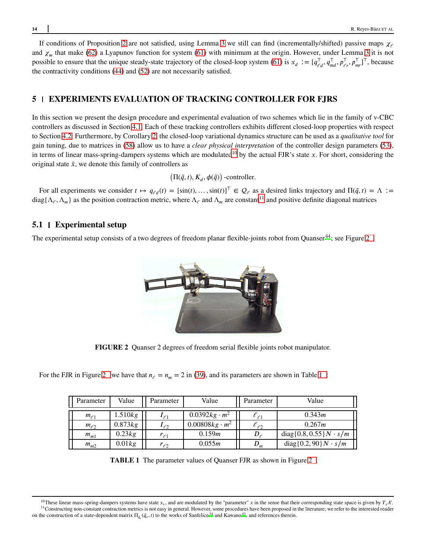If conditions of Proposition [2](#page-12-4) are not satisfied, using Lemma [3](#page-12-3) we still can find (incrementally/shifted) passive maps  $\chi$ and  $\chi_m$  that make [\(62\)](#page-11-1) a Lyapunov function for system [\(61\)](#page-11-2) with minimum at the origin. However, under Lemma [3](#page-12-3) it is not possible to ensure that the unique steady-state trajectory of the closed-loop system [\(61\)](#page-11-2) is  $x_d := [q_{\ell d}^\top, q_{md}^\top, p_{\ell r}^\top, p_{mr}^\top]^\top$ , because the contractivity conditions [\(44\)](#page-8-3) and [\(52\)](#page-9-4) are not necessarily satisfied.

# **5 EXPERIMENTS EVALUATION OF TRACKING CONTROLLER FOR FJRS**

In this section we present the design procedure and experimental evaluation of two schemes which lie in the family of v-CBC controllers as discussed in Section [4.1.](#page-8-4) Each of these tracking controllers exhibits different closed-loop properties with respect to Section [4.2.](#page-10-4) Furthermore, by Corollary [2,](#page-10-1) the closed-loop variational dynamics structure can be used as a *qualitative tool* for gain tuning, due to matrices in [\(58\)](#page-10-5) allow us to have a *clear physical interpretation* of the controller design parameters [\(53\)](#page-9-2), in terms of linear mass-spring-dampers systems which are modulated<sup>10</sup> by the actual FJR's state *x*. For short, considering the original state  $\tilde{x}$ , we denote this family of controllers as

 $\left(\Pi(\tilde{q},t), K_d, \phi(\tilde{q})\right)$ -controller.

For all experiments we consider  $t \mapsto q_{\ell d}(t) = [\sin(t), \dots, \sin(t)]^\top \in \mathcal{Q}_{\ell}$  as a desired links trajectory and  $\Pi(\tilde{q}, t) = \Lambda :=$  $diag\{\Lambda_\ell,\Lambda_m\}$  as the position contraction metric, where  $\Lambda_\ell$  and  $\Lambda_m$  are constant<sup>11</sup> and positive definite diagonal matrices

# **5.1 Experimental setup**

<span id="page-13-0"></span>The experimental setup consists of a two degrees of freedom planar flexible-joints robot from Quanser<sup>[44](#page-19-17)</sup>; see Figure 2.

**FIGURE 2** Quanser 2 degrees of freedom serial flexible joints robot manipulator.

<span id="page-13-1"></span>For the FJR in Figure [2](#page-13-0) we have that  $n_e = n_m = 2$  in [\(39\)](#page-7-1), and its parameters are shown in Table 1:

| Parameter    | Value   | Parameter    | Value                 | Parameter       | Value                          |
|--------------|---------|--------------|-----------------------|-----------------|--------------------------------|
| $m_{\ell_1}$ | .510kg  | $I_{\ell_1}$ | $0.0392 kg \cdot m^2$ | $\iota_{\ell1}$ | 0.343m                         |
| $m_{\ell 2}$ | 0.873kg | $I_{\ell2}$  | $0.00808kg \cdot m^2$ | $t_{\ell2}$     | 0.267m                         |
| $m_{m1}$     | 0.23kg  | $r_{\ell1}$  | 0.159m                | $D_{\times}$    | $diag\{0.8, 0.55\}N \cdot s/m$ |
| $m_{m2}$     | 0.01kg  | $r_{\ell2}$  | 0.055m                | $\nu_m$         | $diag\{0.2, 90\}N \cdot s/m$   |

**TABLE 1** The parameter values of Quanser FJR as shown in Figure [2](#page-13-0)



<sup>&</sup>lt;sup>10</sup>These linear mass-spring-dampers systems have state  $x_v$ , and are modulated by the "parameter" *x* in the sense that their corresponding state space is given by  $T_x \mathcal{X}$ . <sup>11</sup> Constructing non-constant contraction metrics is not easy in general. However, some procedures have been proposed in the literature; we refer to the interested reader [o](#page-19-18)n the construction of a state-dependent matrix  $\Pi_{\tilde{q}_v}(\tilde{q}_v,t)$  to the works of Sanfelice<sup>34</sup> and Kawano<sup>43</sup>, and references therein.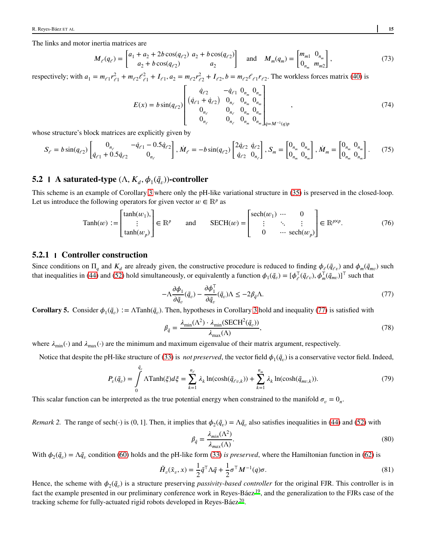The links and motor inertia matrices are

$$
M_{\ell}(q_{\ell}) = \begin{bmatrix} a_1 + a_2 + 2b \cos(q_{\ell 2}) & a_2 + b \cos(q_{\ell 2}) \\ a_2 + b \cos(q_{\ell 2}) & a_2 \end{bmatrix} \text{ and } M_m(q_m) = \begin{bmatrix} m_{m1} & 0_{n_m} \\ 0_{n_m} & m_{m2} \end{bmatrix},
$$
(73)

respectively; with  $a_1 = m_{\ell 1} r_{\ell 1}^2 + m_{\ell 2} r_{\ell 1}^2 + I_{\ell 1}$ ,  $a_2 = m_{\ell 2} r_{\ell 2}^2 + I_{\ell 2}$ ,  $b = m_{\ell 2} r_{\ell 1} r_{\ell 2}$ . The workless forces matrix [\(40\)](#page-7-2) is

$$
E(x) = b \sin(q_{\ell 2}) \begin{bmatrix} \dot{q}_{\ell 2} & -\dot{q}_{\ell 1} & 0_{n_m} & 0_{n_m} \\ (\dot{q}_{\ell 1} + \dot{q}_{\ell 2}) & 0_{n_{\ell}} & 0_{n_m} & 0_{n_m} \\ 0_{n_{\ell}} & 0_{n_{\ell}} & 0_{n_m} & 0_{n_m} \\ 0_{n_{\ell}} & 0_{n_{\ell}} & 0_{n_m} & 0_{n_m} \end{bmatrix}_{\dot{q} = M^{-1}(q)p}, \qquad (74)
$$

whose structure's block matrices are explicitly given by

$$
S_{\ell} = b \sin(q_{\ell 2}) \begin{bmatrix} 0_{n_{\ell}} & -\dot{q}_{\ell 1} - 0.5\dot{q}_{\ell 2} \\ \dot{q}_{\ell 1} + 0.5\dot{q}_{\ell 2} & 0_{n_{\ell}} \end{bmatrix}, \dot{M}_{\ell} = -b \sin(q_{\ell 2}) \begin{bmatrix} 2\dot{q}_{\ell 2} & \dot{q}_{\ell 2} \\ \dot{q}_{\ell 2} & 0_{n_{\ell}} \end{bmatrix}, S_{m} = \begin{bmatrix} 0_{n_{m}} & 0_{n_{m}} \\ 0_{n_{m}} & 0_{n_{m}} \end{bmatrix}, \dot{M}_{m} = \begin{bmatrix} 0_{n_{m}} & 0_{n_{m}} \\ 0_{n_{m}} & 0_{n_{m}} \end{bmatrix}. \tag{75}
$$

# **5.2 A** saturated-type  $(\Lambda, K_d, \phi_1(\tilde{q}_v))$ -controller

This scheme is an example of Corollary [3](#page-10-3) where only the pH-like variational structure in [\(35\)](#page-6-3) is preserved in the closed-loop. Let us introduce the following operators for given vector  $w \in \mathbb{R}^p$  as

$$
\text{Tanh}(w) := \begin{bmatrix} \tanh(w_1), \\ \vdots \\ \tanh(w_p) \end{bmatrix} \in \mathbb{R}^p \quad \text{and} \quad \text{SECH}(w) = \begin{bmatrix} \text{sech}(w_1) & \cdots & 0 \\ \vdots & \ddots & \vdots \\ 0 & \cdots & \text{sech}(w_p) \end{bmatrix} \in \mathbb{R}^{p \times p}. \tag{76}
$$

# **5.2.1 Controller construction**

Since conditions on  $\Pi_q$  and  $K_d$  are already given, the constructive procedure is reduced to finding  $\phi_{\ell}(\tilde{q}_{\ell v})$  and  $\phi_m(\tilde{q}_{mv})$  such that inequalities in [\(44\)](#page-8-3) and [\(52\)](#page-9-4) hold simultaneously, or equivalently a function  $\phi_1(\tilde{q}_v) = [\phi_{\ell}^{\top}(\tilde{q}_{\ell v}), \phi_m^{\top}(\tilde{q}_{mv})]^{\top}$  such that

<span id="page-14-0"></span>
$$
-\Lambda \frac{\partial \phi_1}{\partial \tilde{q}_v}(\tilde{q}_v) - \frac{\partial \phi_1^{\top}}{\partial \tilde{q}_v}(\tilde{q}_v) \Lambda \le -2\beta_{\tilde{q}} \Lambda. \tag{77}
$$

**Corollary 5.** Consider  $\phi_1(\tilde{q}_v) := \Lambda \text{Tanh}(\tilde{q}_v)$ . Then, hypotheses in Corollary [3](#page-10-3) hold and inequality [\(77\)](#page-14-0) is satisfied with

$$
\beta_{\tilde{q}} = \frac{\lambda_{\min}(\Lambda^2) \cdot \lambda_{\min}(\text{SECH}^2(\tilde{q}_v))}{\lambda_{\max}(\Lambda)},
$$
\n(78)

where  $\lambda_{\min}(\cdot)$  and  $\lambda_{\max}(\cdot)$  are the minimum and maximum eigenvalue of their matrix argument, respectively.

Notice that despite the pH-like structure of [\(33\)](#page-6-2) is *not preserved*, the vector field  $\phi_1(\tilde{q}_v)$  is a conservative vector field. Indeed,

$$
P_v(\tilde{q}_v) = \int\limits_0^{\tilde{q}_v} \Lambda \text{Tanh}(\xi) d\xi = \sum_{k=1}^{n_\ell} \lambda_k \ln(\cosh(\tilde{q}_{\ell v,k})) + \sum_{k=1}^{n_m} \lambda_k \ln(\cosh(\tilde{q}_{mv,k})).
$$
\n(79)

This scalar function can be interpreted as the true potential energy when constrained to the manifold  $\sigma_v = 0_n$ .

*Remark 2.* The range of sech(·) is (0, 1]. Then, it implies that  $\phi_2(\tilde{q}_v) = \Lambda \tilde{q}_v$  also satisfies inequalities in [\(44\)](#page-8-3) and [\(52\)](#page-9-4) with

$$
\beta_{\tilde{q}} = \frac{\lambda_{min}(\Lambda^2)}{\lambda_{max}(\Lambda)}.
$$
\n(80)

With  $\phi_2(\tilde{q}_v) = \Lambda \tilde{q}_v$  condition [\(60\)](#page-11-3) holds and the pH-like form [\(33\)](#page-6-2) *is preserved*, where the Hamiltonian function in [\(62\)](#page-11-1) is

$$
\tilde{H}_v(\tilde{x}_v, x) = \frac{1}{2} \tilde{q}^\top \Lambda \tilde{q} + \frac{1}{2} \sigma^\top M^{-1}(q) \sigma.
$$
\n(81)

Hence, the scheme with  $\phi_2(\tilde{q}_v)$  is a structure preserving *passivity-based controller* for the original FJR. This controller is in fact the example presented in our preliminary conference work in Reyes-Báez<sup>[19](#page-18-10)</sup>, and the generalization to the FJRs case of the tracking scheme for fully-actuated rigid robots developed in Reyes-Báez $^{20}$  $^{20}$  $^{20}$ .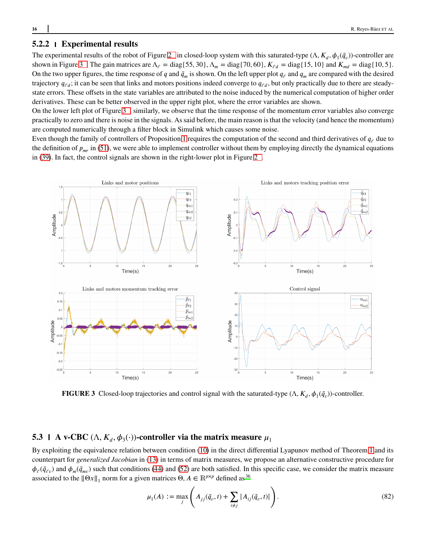# **5.2.2 Experimental results**

The experimental results of the robot of Figure [2](#page-13-0) in closed-loop system with this saturated-type  $(\Lambda, K_d, \phi_1(\tilde{q}_v))$ -controller are shown in Figure 3. The gain matrices are  $\Lambda_{\ell} = \text{diag}\{55, 30\}$ ,  $\Lambda_m = \text{diag}\{70, 60\}$ ,  $K_{\ell d} = \text{diag}\{15, 10\}$  and  $K_{md} = \text{diag}\{10, 5\}$ . On the two upper figures, the time response of *q* and  $\tilde{q}_m$  is shown. On the left upper plot  $q_\ell$  and  $q_m$  are compared with the desired trajectory  $q_{\ell d}$ ; it can be seen that links and motors positions indeed converge to  $q_{\ell d}$ , but only practically due to there are steadystate errors. These offsets in the state variables are attributed to the noise induced by the numerical computation of higher order derivatives. These can be better observed in the upper right plot, where the error variables are shown.

On the lower left plot of Figure [3 ,](#page-15-0) similarly, we observe that the time response of the momentum error variables also converge practically to zero and there is noise in the signals. As said before, the main reason is that the velocity (and hence the momentum) are computed numerically through a filter block in Simulink which causes some noise.

Even though the family of controllers of Proposition [1](#page-9-3) requires the computation of the second and third derivatives of  $q_\ell$  due to the definition of  $p_{mr}$  in [\(51\)](#page-9-5), we were able to implement controller without them by employing directly the dynamical equations in [\(39\)](#page-7-1). In fact, the control signals are shown in the right-lower plot in Figure [2 .](#page-13-0)

<span id="page-15-0"></span>

**FIGURE 3** Closed-loop trajectories and control signal with the saturated-type  $(\Lambda, K_d, \phi_1(\tilde{q}_v))$ -controller.

# **5.3 A** v-CBC  $(\Lambda, K_d, \phi_3(\cdot))$ -controller via the matrix measure  $\mu_1$

By exploiting the equivalence relation between condition [\(10\)](#page-2-2) in the direct differential Lyapunov method of Theorem [1](#page-2-3) and its counterpart for *generalized Jacobian* in [\(13\)](#page-3-6) in terms of matrix measures, we propose an alternative constructive procedure for  $\phi_{\ell}(\tilde{q}_{\ell v})$  and  $\phi_m(\tilde{q}_{mv})$  such that conditions [\(44\)](#page-8-3) and [\(52\)](#page-9-4) are both satisfied. In this specific case, we consider the matrix measure a[s](#page-19-11)sociated to the  $\|\Theta x\|_1$  norm for a given matrices  $\Theta$ ,  $A \in \mathbb{R}^{p \times p}$  defined as <sup>36</sup>

$$
\mu_1(A) := \max_{j} \left( A_{jj}(\tilde{q}_v, t) + \sum_{i \neq j} |A_{ij}(\tilde{q}_v, t)| \right). \tag{82}
$$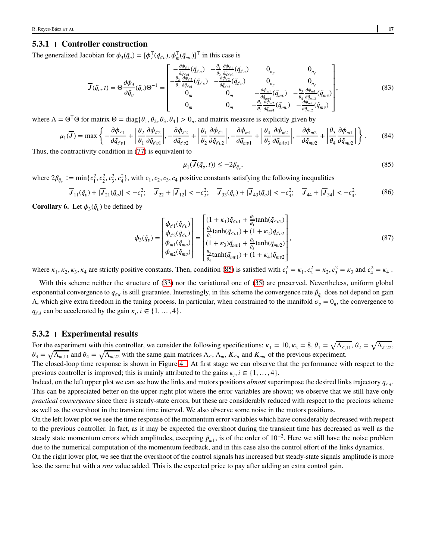#### **5.3.1 Controller construction**

The generalized Jacobian for  $\phi_3(\tilde{q}_v) = [\phi_{\ell}^{\top}(\tilde{q}_{\ell v}), \phi_{m}^{\top}(\tilde{q}_{mv})]^{\top}$  in this case is

$$
\overline{J}(\tilde{q}_{\nu},t) = \Theta \frac{\partial \phi_3}{\partial \tilde{q}_{\nu}}(\tilde{q}_{\nu})\Theta^{-1} = \begin{bmatrix} -\frac{\partial \phi_{\ell}}{\partial \tilde{q}_{\ell}}(\tilde{q}_{\ell\nu}) & -\frac{\theta_{1}}{\partial_{2}}\frac{\partial \phi_{\ell}}{\partial \tilde{q}_{\ell\nu}}(\tilde{q}_{\ell\nu}) & 0_{n_{\ell}} & 0_{n_{\ell}} \\ -\frac{\theta_{2}}{\partial_{1}}\frac{\partial \phi_{\ell2}}{\partial \tilde{q}_{\ell\nu}}(\tilde{q}_{\ell\nu}) & -\frac{\partial \phi_{\ell2}}{\partial \tilde{q}_{\ell\nu}}(\tilde{q}_{\ell\nu}) & 0_{n_{\ell}} & 0_{n_{\ell}} \\ 0_{m} & 0_{m} & -\frac{\partial \phi_{m1}}{\partial \tilde{q}_{m1}}(\tilde{q}_{m\nu}) & -\frac{\theta_{3}}{\partial_{4}}\frac{\partial \phi_{m1}}{\partial \tilde{q}_{m\nu}}(\tilde{q}_{m\nu}) \\ 0_{m} & 0_{m} & -\frac{\theta_{4}}{\theta_{3}}\frac{\partial \phi_{m2}}{\partial \tilde{q}_{m\nu}}(\tilde{q}_{m\nu}) & -\frac{\partial \phi_{m2}}{\partial \tilde{q}_{m\nu}}(\tilde{q}_{m\nu}) \end{bmatrix},
$$
(83)

where  $\Lambda = \Theta^{\top} \Theta$  for matrix  $\Theta = \text{diag}\{\theta_1, \theta_2, \theta_3, \theta_4\} > 0_n$ , and matrix measure is explicitly given by

$$
\mu_1(\overline{J}) = \max \left\{ -\frac{\partial \phi_{\ell 1}}{\partial \tilde{q}_{\ell v1}} + \left| \frac{\theta_2}{\theta_1} \frac{\partial \phi_{\ell 2}}{\partial \tilde{q}_{\ell v1}} \right|, -\frac{\partial \phi_{\ell 2}}{\partial \tilde{q}_{\ell v2}} + \left| \frac{\theta_1}{\theta_2} \frac{\partial \phi_{\ell 1}}{\partial \tilde{q}_{\ell v2}} \right|, -\frac{\partial \phi_{m1}}{\partial \tilde{q}_{m v1}} + \left| \frac{\theta_4}{\theta_3} \frac{\partial \phi_{m2}}{\partial \tilde{q}_{m v1}} \right|, -\frac{\partial \phi_{m2}}{\partial \tilde{q}_{m v2}} + \left| \frac{\theta_3}{\theta_4} \frac{\partial \phi_{m1}}{\partial \tilde{q}_{m v2}} \right| \right\}.
$$
 (84)

Thus, the contractivity condition in [\(77\)](#page-14-0) is equivalent to

<span id="page-16-0"></span>
$$
\mu_1(J(\tilde{q}_v, t)) \le -2\beta_{\tilde{q}_v},\tag{85}
$$

where  $2\beta_{\tilde{q}_v} := \min\{c_1^2, c_2^2, c_3^2, c_4^2\}$ , with  $c_1, c_2, c_3, c_4$  positive constants satisfying the following inequalities

$$
\overline{J}_{11}(\tilde{q}_v) + |\overline{J}_{21}(\tilde{q}_v)| < -c_1^2; \quad \overline{J}_{22} + |\overline{J}_{12}| < -c_2^2; \quad \overline{J}_{33}(\tilde{q}_v) + |\overline{J}_{43}(\tilde{q}_v)| < -c_3^2; \quad \overline{J}_{44} + |\overline{J}_{34}| < -c_4^2. \tag{86}
$$

**Corollary 6.** Let  $\phi_3(\tilde{q}_v)$  be defined by

$$
\phi_{3}(\tilde{q}_{\nu}) = \begin{bmatrix} \phi_{\ell1}(\tilde{q}_{\ell\nu}) \\ \phi_{\ell2}(\tilde{q}_{\ell\nu}) \\ \phi_{m1}(\tilde{q}_{\mu\nu}) \\ \phi_{m2}(\tilde{q}_{\mu\nu}) \end{bmatrix} = \begin{bmatrix} (1 + \kappa_{1})\tilde{q}_{\ell\nu1} + \frac{\theta_{2}}{\theta_{1}} \tanh(\tilde{q}_{\ell\nu2}) \\ \frac{\theta_{1}}{\theta_{2}} \tanh(\tilde{q}_{\ell\nu1}) + (1 + \kappa_{2})\tilde{q}_{\ell\nu2} \\ (1 + \kappa_{3})\tilde{q}_{m\nu1} + \frac{\theta_{4}}{\theta_{3}} \tanh(\tilde{q}_{m\nu2}) \\ \frac{\theta_{3}}{\theta_{4}} \tanh(\tilde{q}_{m\nu1}) + (1 + \kappa_{4})\tilde{q}_{m\nu2} \end{bmatrix},
$$
\n(87)

where  $\kappa_1, \kappa_2, \kappa_3, \kappa_4$  are strictly positive constants. Then, condition [\(85\)](#page-16-0) is satisfied with  $c_1^2 = \kappa_1, c_2^2 = \kappa_2, c_3^2 = \kappa_3$  and  $c_4^2 = \kappa_4$ .

With this scheme neither the structure of [\(33\)](#page-6-2) nor the variational one of [\(35\)](#page-6-3) are preserved. Nevertheless, uniform global exponential convergence to  $q_{\ell d}$  is still guarantee. Interestingly, in this scheme the convergence rate  $\beta_{\tilde{q}_\nu}$  does not depend on gain  $Λ$ , which give extra freedom in the tuning process. In particular, when constrained to the manifold  $σ<sub>ν</sub> = 0<sub>n</sub>$ , the convergence to  $q_{\ell d}$  can be accelerated by the gain  $\kappa_i, i \in \{1, ..., 4\}$ .

#### **5.3.2 Experimental results**

For the experiment with this controller, we consider the following specifications:  $\kappa_1 = 10$ ,  $\kappa_2 = 8$ ,  $\theta_1 = \sqrt{\Lambda_{\ell,11}}$ ,  $\theta_2 = \sqrt{\Lambda_{\ell,22}}$ ,  $\theta_3 = \sqrt{\Lambda_{m,11}}$  and  $\theta_4 = \sqrt{\Lambda_{m,22}}$  with the same gain matrices  $\Lambda_{\ell}$ ,  $\Lambda_m$ ,  $K_{\ell d}$  and  $K_{md}$  of the previous experiment.

The closed-loop time response is shown in Figure [4 .](#page-17-5) At first stage we can observe that the performance with respect to the previous controller is improved; this is mainly attributed to the gains  $\kappa_i$ ,  $i \in \{1, ..., 4\}$ .

Indeed, on the left upper plot we can see how the links and motors positions *almost* superimpose the desired links trajectory  $q_{\ell d}$ . This can be appreciated better on the upper-right plot where the error variables are shown; we observe that we still have only *practical convergence* since there is steady-state errors, but these are considerably reduced with respect to the precious scheme as well as the overshoot in the transient time interval. We also observe some noise in the motors positions.

On the left lower plot we see the time response of the momentum error variables which have considerably decreased with respect to the previous controller. In fact, as it may be expected the overshoot during the transient time has decreased as well as the steady state momentum errors which amplitudes, excepting  $\tilde{p}_{m1}$ , is of the order of  $10^{-2}$ . Here we still have the noise problem due to the numerical computation of the momentum feedback, and in this case also the control effort of the links dynamics.

On the right lower plot, we see that the overshoot of the control signals has increased but steady-state signals amplitude is more less the same but with a *rms* value added. This is the expected price to pay after adding an extra control gain.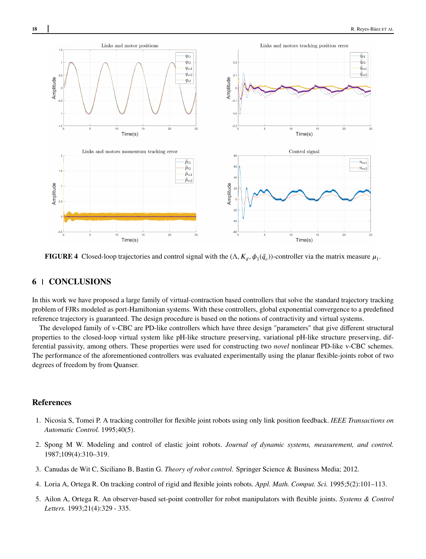<span id="page-17-5"></span>

**FIGURE 4** Closed-loop trajectories and control signal with the  $(\Lambda, K_d, \phi_1(\tilde{q}_v))$ -controller via the matrix measure  $\mu_1$ .

# **6 CONCLUSIONS**

In this work we have proposed a large family of virtual-contraction based controllers that solve the standard trajectory tracking problem of FJRs modeled as port-Hamiltonian systems. With these controllers, global exponential convergence to a predefined reference trajectory is guaranteed. The design procedure is based on the notions of contractivity and virtual systems.

The developed family of v-CBC are PD-like controllers which have three design "parameters" that give different structural properties to the closed-loop virtual system like pH-like structure preserving, variational pH-like structure preserving, differential passivity, among others. These properties were used for constructing two *novel* nonlinear PD-like v-CBC schemes. The performance of the aforementioned controllers was evaluated experimentally using the planar flexible-joints robot of two degrees of freedom by from Quanser.

# **References**

- <span id="page-17-0"></span>1. Nicosia S, Tomei P. A tracking controller for flexible joint robots using only link position feedback. *IEEE Transactions on Automatic Control.* 1995;40(5).
- <span id="page-17-1"></span>2. Spong M W. Modeling and control of elastic joint robots. *Journal of dynamic systems, measurement, and control.* 1987;109(4):310–319.
- <span id="page-17-2"></span>3. Canudas de Wit C, Siciliano B, Bastin G. *Theory of robot control*. Springer Science & Business Media; 2012.
- <span id="page-17-3"></span>4. Loria A, Ortega R. On tracking control of rigid and flexible joints robots. *Appl. Math. Comput. Sci.* 1995;5(2):101–113.
- <span id="page-17-4"></span>5. Ailon A, Ortega R. An observer-based set-point controller for robot manipulators with flexible joints. *Systems & Control Letters.* 1993;21(4):329 - 335.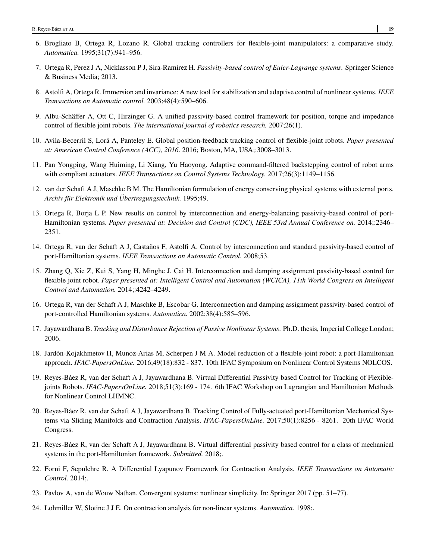- <span id="page-18-0"></span>6. Brogliato B, Ortega R, Lozano R. Global tracking controllers for flexible-joint manipulators: a comparative study. *Automatica.* 1995;31(7):941–956.
- <span id="page-18-1"></span>7. Ortega R, Perez J A, Nicklasson P J, Sira-Ramirez H. *Passivity-based control of Euler-Lagrange systems*. Springer Science & Business Media; 2013.
- <span id="page-18-2"></span>8. Astolfi A, Ortega R. Immersion and invariance: A new tool for stabilization and adaptive control of nonlinear systems. *IEEE Transactions on Automatic control.* 2003;48(4):590–606.
- <span id="page-18-3"></span>9. Albu-Schäffer A, Ott C, Hirzinger G. A unified passivity-based control framework for position, torque and impedance control of flexible joint robots. *The international journal of robotics research.* 2007;26(1).
- <span id="page-18-4"></span>10. Avila-Becerril S, Lorá A, Panteley E. Global position-feedback tracking control of flexible-joint robots. *Paper presented at: American Control Conference (ACC), 2016.* 2016; Boston, MA, USA;:3008–3013.
- <span id="page-18-5"></span>11. Pan Yongping, Wang Huiming, Li Xiang, Yu Haoyong. Adaptive command-filtered backstepping control of robot arms with compliant actuators. *IEEE Transactions on Control Systems Technology.* 2017;26(3):1149–1156.
- <span id="page-18-6"></span>12. van der Schaft A J, Maschke B M. The Hamiltonian formulation of energy conserving physical systems with external ports. *Archiv für Elektronik und Übertragungstechnik.* 1995;49.
- <span id="page-18-7"></span>13. Ortega R, Borja L P. New results on control by interconnection and energy-balancing passivity-based control of port-Hamiltonian systems. *Paper presented at: Decision and Control (CDC), IEEE 53rd Annual Conference on.* 2014;:2346– 2351.
- 14. Ortega R, van der Schaft A J, Castaños F, Astolfi A. Control by interconnection and standard passivity-based control of port-Hamiltonian systems. *IEEE Transactions on Automatic Control.* 2008;53.
- <span id="page-18-8"></span>15. Zhang Q, Xie Z, Kui S, Yang H, Minghe J, Cai H. Interconnection and damping assignment passivity-based control for flexible joint robot. *Paper presented at: Intelligent Control and Automation (WCICA), 11th World Congress on Intelligent Control and Automation.* 2014;:4242–4249.
- <span id="page-18-16"></span>16. Ortega R, van der Schaft A J, Maschke B, Escobar G. Interconnection and damping assignment passivity-based control of port-controlled Hamiltonian systems. *Automatica.* 2002;38(4):585–596.
- 17. Jayawardhana B.*Tracking and Disturbance Rejection of Passive Nonlinear Systems*. Ph.D. thesis, Imperial College London; 2006.
- <span id="page-18-9"></span>18. Jardón-Kojakhmetov H, Munoz-Arias M, Scherpen J M A. Model reduction of a flexible-joint robot: a port-Hamiltonian approach. *IFAC-PapersOnLine.* 2016;49(18):832 - 837. 10th IFAC Symposium on Nonlinear Control Systems NOLCOS.
- <span id="page-18-10"></span>19. Reyes-Báez R, van der Schaft A J, Jayawardhana B. Virtual Differential Passivity based Control for Tracking of Flexiblejoints Robots. *IFAC-PapersOnLine.* 2018;51(3):169 - 174. 6th IFAC Workshop on Lagrangian and Hamiltonian Methods for Nonlinear Control LHMNC.
- <span id="page-18-11"></span>20. Reyes-Báez R, van der Schaft A J, Jayawardhana B. Tracking Control of Fully-actuated port-Hamiltonian Mechanical Systems via Sliding Manifolds and Contraction Analysis. *IFAC-PapersOnLine.* 2017;50(1):8256 - 8261. 20th IFAC World Congress.
- <span id="page-18-12"></span>21. Reyes-Báez R, van der Schaft A J, Jayawardhana B. Virtual differential passivity based control for a class of mechanical systems in the port-Hamiltonian framework. *Submitted.* 2018;.
- <span id="page-18-13"></span>22. Forni F, Sepulchre R. A Differential Lyapunov Framework for Contraction Analysis. *IEEE Transactions on Automatic Control.* 2014;.
- <span id="page-18-14"></span>23. Pavlov A, van de Wouw Nathan. Convergent systems: nonlinear simplicity. In: Springer 2017 (pp. 51–77).
- <span id="page-18-15"></span>24. Lohmiller W, Slotine J J E. On contraction analysis for non-linear systems. *Automatica.* 1998;.